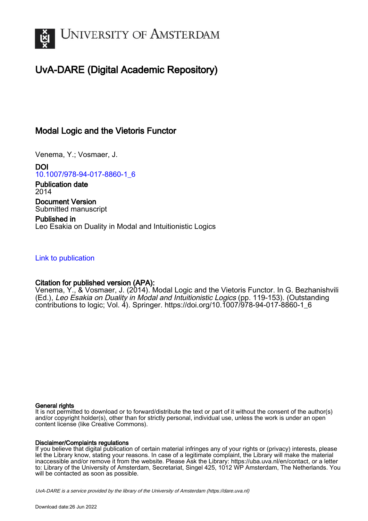

# UvA-DARE (Digital Academic Repository)

# Modal Logic and the Vietoris Functor

Venema, Y.; Vosmaer, J.

DOI [10.1007/978-94-017-8860-1\\_6](https://doi.org/10.1007/978-94-017-8860-1_6)

Publication date 2014

Document Version Submitted manuscript

Published in Leo Esakia on Duality in Modal and Intuitionistic Logics

## [Link to publication](https://dare.uva.nl/personal/pure/en/publications/modal-logic-and-the-vietoris-functor(3d8cb1c0-1acb-4697-ae80-9859c3c5337e).html)

## Citation for published version (APA):

Venema, Y., & Vosmaer, J. (2014). Modal Logic and the Vietoris Functor. In G. Bezhanishvili (Ed.), Leo Esakia on Duality in Modal and Intuitionistic Logics (pp. 119-153). (Outstanding contributions to logic; Vol. 4). Springer. [https://doi.org/10.1007/978-94-017-8860-1\\_6](https://doi.org/10.1007/978-94-017-8860-1_6)

## General rights

It is not permitted to download or to forward/distribute the text or part of it without the consent of the author(s) and/or copyright holder(s), other than for strictly personal, individual use, unless the work is under an open content license (like Creative Commons).

## Disclaimer/Complaints regulations

If you believe that digital publication of certain material infringes any of your rights or (privacy) interests, please let the Library know, stating your reasons. In case of a legitimate complaint, the Library will make the material inaccessible and/or remove it from the website. Please Ask the Library: https://uba.uva.nl/en/contact, or a letter to: Library of the University of Amsterdam, Secretariat, Singel 425, 1012 WP Amsterdam, The Netherlands. You will be contacted as soon as possible.

UvA-DARE is a service provided by the library of the University of Amsterdam (http*s*://dare.uva.nl)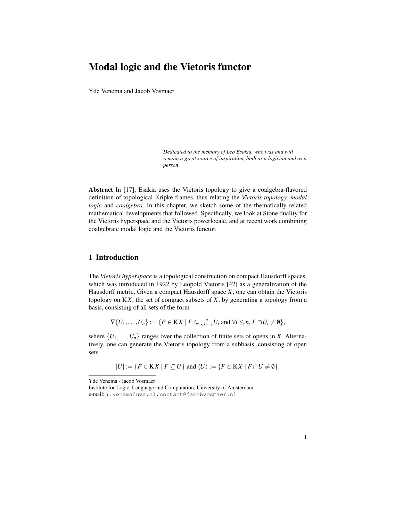Yde Venema and Jacob Vosmaer

*Dedicated to the memory of Leo Esakia, who was and will remain a great source of inspiration, both as a logician and as a person*

Abstract In [17], Esakia uses the Vietoris topology to give a coalgebra-flavored definition of topological Kripke frames, thus relating the *Vietoris topology*, *modal logic* and *coalgebra*. In this chapter, we sketch some of the thematically related mathematical developments that followed. Specifically, we look at Stone duality for the Vietoris hyperspace and the Vietoris powerlocale, and at recent work combining coalgebraic modal logic and the Vietoris functor.

## 1 Introduction

The *Vietoris hyperspace* is a topological construction on compact Hausdorff spaces, which was introduced in 1922 by Leopold Vietoris [42] as a generalization of the Hausdorff metric. Given a compact Hausdorff space *X*, one can obtain the Vietoris topology on K*X*, the set of compact subsets of *X*, by generating a topology from a basis, consisting of all sets of the form

$$
\nabla \{U_1,\ldots,U_n\} := \{F \in \mathbb{K}X \mid F \subseteq \bigcup_{i=1}^n U_i \text{ and } \forall i \leq n, F \cap U_i \neq \emptyset\},\
$$

where  $\{U_1, \ldots, U_n\}$  ranges over the collection of finite sets of opens in *X*. Alternatively, one can generate the Vietoris topology from a subbasis, consisting of open sets

$$
[U] := \{ F \in KX \mid F \subseteq U \} \text{ and } \langle U \rangle := \{ F \in KX \mid F \cap U \neq \emptyset \},
$$

Yde Venema · Jacob Vosmaer

Institute for Logic, Language and Computation, University of Amsterdam e-mail: Y.Venema@uva.nl,contact@jacobvosmaer.nl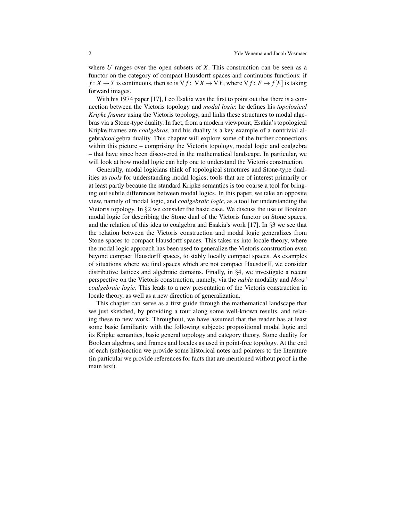where *U* ranges over the open subsets of *X*. This construction can be seen as a functor on the category of compact Hausdorff spaces and continuous functions: if  $f: X \to Y$  is continuous, then so is  $V f: V X \to V Y$ , where  $V f: F \mapsto f[F]$  is taking forward images.

With his 1974 paper [17], Leo Esakia was the first to point out that there is a connection between the Vietoris topology and *modal logic*: he defines his *topological Kripke frames* using the Vietoris topology, and links these structures to modal algebras via a Stone-type duality. In fact, from a modern viewpoint, Esakia's topological Kripke frames are *coalgebras*, and his duality is a key example of a nontrivial algebra/coalgebra duality. This chapter will explore some of the further connections within this picture – comprising the Vietoris topology, modal logic and coalgebra – that have since been discovered in the mathematical landscape. In particular, we will look at how modal logic can help one to understand the Vietoris construction.

Generally, modal logicians think of topological structures and Stone-type dualities as *tools* for understanding modal logics; tools that are of interest primarily or at least partly because the standard Kripke semantics is too coarse a tool for bringing out subtle differences between modal logics. In this paper, we take an opposite view, namely of modal logic, and *coalgebraic logic*, as a tool for understanding the Vietoris topology. In §2 we consider the basic case. We discuss the use of Boolean modal logic for describing the Stone dual of the Vietoris functor on Stone spaces, and the relation of this idea to coalgebra and Esakia's work [17]. In §3 we see that the relation between the Vietoris construction and modal logic generalizes from Stone spaces to compact Hausdorff spaces. This takes us into locale theory, where the modal logic approach has been used to generalize the Vietoris construction even beyond compact Hausdorff spaces, to stably locally compact spaces. As examples of situations where we find spaces which are not compact Hausdorff, we consider distributive lattices and algebraic domains. Finally, in §4, we investigate a recent perspective on the Vietoris construction, namely, via the *nabla* modality and *Moss' coalgebraic logic*. This leads to a new presentation of the Vietoris construction in locale theory, as well as a new direction of generalization.

This chapter can serve as a first guide through the mathematical landscape that we just sketched, by providing a tour along some well-known results, and relating these to new work. Throughout, we have assumed that the reader has at least some basic familiarity with the following subjects: propositional modal logic and its Kripke semantics, basic general topology and category theory, Stone duality for Boolean algebras, and frames and locales as used in point-free topology. At the end of each (sub)section we provide some historical notes and pointers to the literature (in particular we provide references for facts that are mentioned without proof in the main text).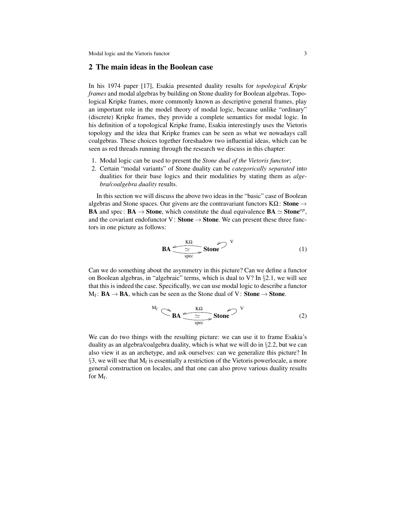#### 2 The main ideas in the Boolean case

In his 1974 paper [17], Esakia presented duality results for *topological Kripke frames* and modal algebras by building on Stone duality for Boolean algebras. Topological Kripke frames, more commonly known as descriptive general frames, play an important role in the model theory of modal logic, because unlike "ordinary" (discrete) Kripke frames, they provide a complete semantics for modal logic. In his definition of a topological Kripke frame, Esakia interestingly uses the Vietoris topology and the idea that Kripke frames can be seen as what we nowadays call coalgebras. These choices together foreshadow two influential ideas, which can be seen as red threads running through the research we discuss in this chapter:

- 1. Modal logic can be used to present the *Stone dual of the Vietoris functor*;
- 2. Certain "modal variants" of Stone duality can be *categorically separated* into dualities for their base logics and their modalities by stating them as *algebra/coalgebra duality* results.

In this section we will discuss the above two ideas in the "basic" case of Boolean algebras and Stone spaces. Our givens are the contravariant functors K $\Omega$ : Stone  $\rightarrow$ **BA** and spec:  $BA \rightarrow$  **Stone**, which constitute the dual equivalence  $BA \simeq$  **Stone**<sup>op</sup>, and the covariant endofunctor V: **Stone**  $\rightarrow$  **Stone**. We can present these three functors in one picture as follows:

$$
\mathbf{BA} \xrightarrow{\text{K}\Omega} \text{Stone} \nearrow \text{V} \tag{1}
$$

Can we do something about the asymmetry in this picture? Can we define a functor on Boolean algebras, in "algebraic" terms, which is dual to V? In §2.1, we will see that this is indeed the case. Specifically, we can use modal logic to describe a functor  $M_f: BA \rightarrow BA$ , which can be seen as the Stone dual of V: Stone  $\rightarrow$  Stone.

$$
^{M_{f}}\left( \sum_{\mathbf{BA}}\frac{\kappa\Omega}{\frac{\simeq}{\text{spec}}}\text{Stone}\right) ^{V}\tag{2}
$$

We can do two things with the resulting picture: we can use it to frame Esakia's duality as an algebra/coalgebra duality, which is what we will do in §2.2, but we can also view it as an archetype, and ask ourselves: can we generalize this picture? In  $\S3$ , we will see that  $M_f$  is essentially a restriction of the Vietoris powerlocale, a more general construction on locales, and that one can also prove various duality results for  $M_f$ .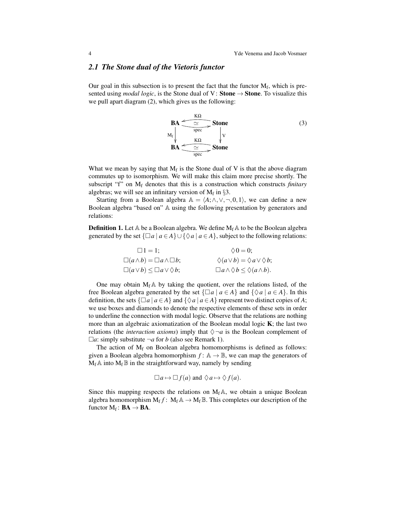## *2.1 The Stone dual of the Vietoris functor*

Our goal in this subsection is to present the fact that the functor  $M_f$ , which is presented using *modal logic*, is the Stone dual of V: **Stone**  $\rightarrow$  **Stone**. To visualize this we pull apart diagram (2), which gives us the following:

$$
BA \xrightarrow{\text{K}\Omega \atop \text{spec}} \text{Stone} \tag{3}
$$
\n
$$
BA \xrightarrow{\text{K}\Omega \atop \text{spec}} \text{Stone} \tag{3}
$$

What we mean by saying that  $M_f$  is the Stone dual of V is that the above diagram commutes up to isomorphism. We will make this claim more precise shortly. The subscript "f" on  $M_f$  denotes that this is a construction which constructs *finitary* algebras; we will see an infinitary version of  $M_f$  in  $\S 3$ .

Starting from a Boolean algebra  $A = \langle A; \wedge, \vee, \neg, 0, 1 \rangle$ , we can define a new Boolean algebra "based on"  $\mathbb A$  using the following presentation by generators and relations:

**Definition 1.** Let  $\mathbb{A}$  be a Boolean algebra. We define  $M_f \mathbb{A}$  to be the Boolean algebra generated by the set  $\{\Box a \mid a \in A\} \cup \{\Diamond a \mid a \in A\}$ , subject to the following relations:

| $\Box 1 = 1$ ;                                  | $\Diamond 0 = 0.$                                      |
|-------------------------------------------------|--------------------------------------------------------|
| $\Box(a \wedge b) = \Box a \wedge \Box b;$      | $\Diamond(a \vee b) = \Diamond a \vee \Diamond b;$     |
| $\square(a\vee b)\leq \square a\vee\lozenge b;$ | $\Box a \wedge \Diamond b \leq \Diamond (a \wedge b).$ |

One may obtain  $M_f \mathbb{A}$  by taking the quotient, over the relations listed, of the free Boolean algebra generated by the set  ${\Box a \mid a \in A}$  and  ${\Diamond a \mid a \in A}$ . In this definition, the sets  $\{\Box a \mid a \in A\}$  and  $\{\Diamond a \mid a \in A\}$  represent two distinct copies of *A*; we use boxes and diamonds to denote the respective elements of these sets in order to underline the connection with modal logic. Observe that the relations are nothing more than an algebraic axiomatization of the Boolean modal logic  $\mathbf{K}$ ; the last two relations (the *interaction axioms*) imply that  $\Diamond \neg a$  is the Boolean complement of  $\Box a$ : simply substitute  $\neg a$  for *b* (also see Remark 1).

The action of  $M_f$  on Boolean algebra homomorphisms is defined as follows: given a Boolean algebra homomorphism  $f: A \rightarrow \mathbb{B}$ , we can map the generators of  $M_f \mathbb{A}$  into  $M_f \mathbb{B}$  in the straightforward way, namely by sending

$$
\Box a \mapsto \Box f(a) \text{ and } \Diamond a \mapsto \Diamond f(a).
$$

Since this mapping respects the relations on  $M_f$  A, we obtain a unique Boolean algebra homomorphism  $M_f f: M_f \mathbb{A} \to M_f \mathbb{B}$ . This completes our description of the functor  $M_f: BA \rightarrow BA$ .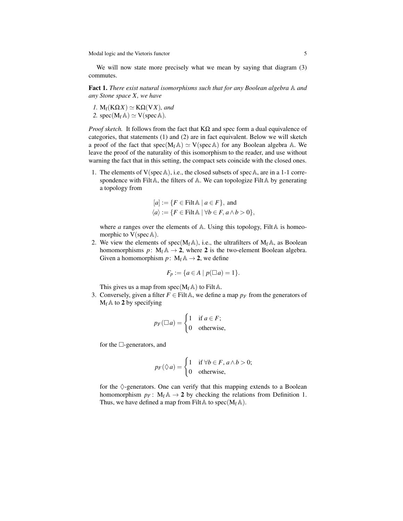We will now state more precisely what we mean by saying that diagram (3) commutes.

Fact 1. *There exist natural isomorphisms such that for any Boolean algebra* A *and any Stone space X, we have*

*1.*  $M_f(K\Omega X) \simeq K\Omega(VX)$ *, and* 2.  $spec(M_f \mathbb{A}) \simeq V(spec \mathbb{A})$ .

*Proof sketch.* It follows from the fact that  $K\Omega$  and spec form a dual equivalence of categories, that statements (1) and (2) are in fact equivalent. Below we will sketch a proof of the fact that  $spec(M_f \mathbb{A}) \simeq V(spec \mathbb{A})$  for any Boolean algebra A. We leave the proof of the naturality of this isomorphism to the reader, and use without warning the fact that in this setting, the compact sets coincide with the closed ones.

1. The elements of  $V(\text{spec } A)$ , i.e., the closed subsets of spec  $A$ , are in a 1-1 correspondence with Filt $A$ , the filters of  $A$ . We can topologize Filt $A$  by generating a topology from

$$
[a] := \{ F \in \text{Filt} \land a \in F \}, \text{ and}
$$

$$
\langle a \rangle := \{ F \in \text{Filt} \land \forall b \in F, a \land b > 0 \},
$$

where  $a$  ranges over the elements of  $A$ . Using this topology, Filt  $A$  is homeomorphic to  $V$ (spec  $\mathbb{A}$ ).

2. We view the elements of spec( $M_f \land A$ ), i.e., the ultrafilters of  $M_f \land A$ , as Boolean homomorphisms  $p: M_f \mathbb{A} \to 2$ , where 2 is the two-element Boolean algebra. Given a homomorphism  $p: M_f \mathbb{A} \to 2$ , we define

$$
F_p := \{ a \in A \mid p(\Box a) = 1 \}.
$$

This gives us a map from  $spec(M_f \triangle)$  to Filt  $\triangle$ .

3. Conversely, given a filter  $F \in \text{Filt} \mathbb{A}$ , we define a map  $p_F$  from the generators of  $M_f \mathbb{A}$  to 2 by specifying

$$
p_F(\Box a) = \begin{cases} 1 & \text{if } a \in F; \\ 0 & \text{otherwise,} \end{cases}
$$

for the  $\Box$ -generators, and

$$
p_F(\lozenge a) = \begin{cases} 1 & \text{if } \forall b \in F, a \wedge b > 0; \\ 0 & \text{otherwise,} \end{cases}
$$

for the  $\Diamond$ -generators. One can verify that this mapping extends to a Boolean homomorphism  $p_F$ :  $M_f \triangle \rightarrow 2$  by checking the relations from Definition 1. Thus, we have defined a map from Filt  $\mathbb A$  to spec $(M_f \mathbb A)$ .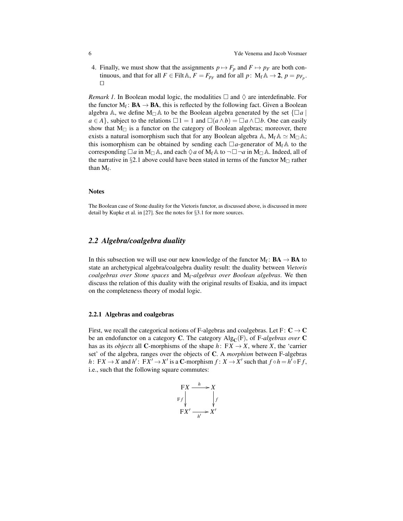4. Finally, we must show that the assignments  $p \mapsto F_p$  and  $F \mapsto p_F$  are both continuous, and that for all  $F \in \text{Filt} \mathbb{A}$ ,  $F = F_{p_F}$  and for all  $p: M_f \mathbb{A} \to \mathbf{2}$ ,  $p = p_{F_p}$ .  $\Box$ 

*Remark 1.* In Boolean modal logic, the modalities  $\Box$  and  $\Diamond$  are interdefinable. For the functor  $M_f: BA \rightarrow BA$ , this is reflected by the following fact. Given a Boolean algebra A, we define  $M_{\Box}$  A to be the Boolean algebra generated by the set  $\{\Box a \mid$ *a* ∈ *A*}, subject to the relations  $\Box 1 = 1$  and  $\Box(a \land b) = \Box a \land \Box b$ . One can easily show that  $M_{\Box}$  is a functor on the category of Boolean algebras; moreover, there exists a natural isomorphism such that for any Boolean algebra  $\mathbb{A}$ ,  $M_f \mathbb{A} \simeq M_{\square} \mathbb{A}$ ; this isomorphism can be obtained by sending each  $\Box a$ -generator of  $M_f \mathbb{A}$  to the corresponding  $\Box a$  in M<sub> $\Box$ </sub> A, and each  $\Diamond a$  of M<sub>f</sub> A to  $\neg$   $\Box \neg a$  in M<sub> $\Box$ </sub> A. Indeed, all of the narrative in §2.1 above could have been stated in terms of the functor  $M_{\Box}$  rather than  $M_f$ .

#### **Notes**

The Boolean case of Stone duality for the Vietoris functor, as discussed above, is discussed in more detail by Kupke et al. in [27]. See the notes for §3.1 for more sources.

## *2.2 Algebra/coalgebra duality*

In this subsection we will use our new knowledge of the functor  $M_f: BA \rightarrow BA$  to state an archetypical algebra/coalgebra duality result: the duality between *Vietoris coalgebras over Stone spaces* and Mf*-algebras over Boolean algebras*. We then discuss the relation of this duality with the original results of Esakia, and its impact on the completeness theory of modal logic.

#### 2.2.1 Algebras and coalgebras

First, we recall the categorical notions of F-algebras and coalgebras. Let  $F: C \rightarrow C$ be an endofunctor on a category C. The category  $\text{Alg}_{\mathbb{C}}(F)$ , of F-algebras over C has as its *objects* all **C**-morphisms of the shape  $h: FX \rightarrow X$ , where *X*, the 'carrier set' of the algebra, ranges over the objects of C. A *morphism* between F-algebras *h*: F*X* → *X* and *h*<sup> $\prime$ </sup>: F*X*<sup> $\prime$ </sup> → *X*<sup> $\prime$ </sup> is a **C**-morphism *f* : *X* → *X*<sup> $\prime$ </sup> such that *f* ∘ *h* = *h*<sup> $\prime$ </sup> ∘ F*f*, i.e., such that the following square commutes:

$$
\begin{array}{ccc}\nFX & \xrightarrow{h} & X \\
Ff & & \downarrow f \\
FX' & \xrightarrow{h'} & X'\n\end{array}
$$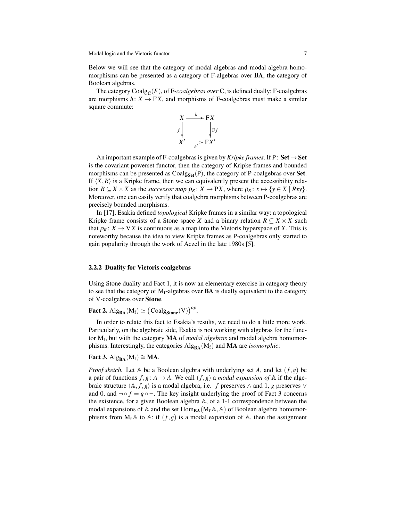Below we will see that the category of modal algebras and modal algebra homomorphisms can be presented as a category of F-algebras over BA, the category of Boolean algebras.

The category  $Coalg_{\mathbb{C}}(F)$ , of F-*coalgebras over* C, is defined dually: F-coalgebras are morphisms  $h: X \to FX$ , and morphisms of F-coalgebras must make a similar square commute:



An important example of F-coalgebras is given by *Kripke frames*. If  $P: Set \rightarrow Set$ is the covariant powerset functor, then the category of Kripke frames and bounded morphisms can be presented as  $Coalg_{Set}(P)$ , the category of P-coalgebras over **Set**. If  $\langle X, R \rangle$  is a Kripke frame, then we can equivalently present the accessibility relation  $R \subseteq X \times X$  as the *successor map*  $\rho_R : X \to PX$ , where  $\rho_R : x \mapsto \{y \in X \mid Rxy\}$ . Moreover, one can easily verify that coalgebra morphisms between P-coalgebras are precisely bounded morphisms.

In [17], Esakia defined *topological* Kripke frames in a similar way: a topological Kripke frame consists of a Stone space *X* and a binary relation  $R \subseteq X \times X$  such that  $\rho_R$ :  $X \to \nabla X$  is continuous as a map into the Vietoris hyperspace of X. This is noteworthy because the idea to view Kripke frames as P-coalgebras only started to gain popularity through the work of Aczel in the late 1980s [5].

#### 2.2.2 Duality for Vietoris coalgebras

Using Stone duality and Fact 1, it is now an elementary exercise in category theory to see that the category of  $M_f$ -algebras over **BA** is dually equivalent to the category of V-coalgebras over Stone.

Fact 2.  $\mathrm{Alg}_{\mathbf{BA}}(M_f) \simeq (\mathrm{Coalg}_{\mathbf{Stone}}(V))^{op}.$ 

In order to relate this fact to Esakia's results, we need to do a little more work. Particularly, on the algebraic side, Esakia is not working with algebras for the functor M<sub>f</sub>, but with the category MA of *modal algebras* and modal algebra homomorphisms. Interestingly, the categories  $\text{Alg}_{\text{BA}}(M_f)$  and MA are *isomorphic*:

Fact 3. Alg<sub>BA</sub> $(M_f) \cong MA$ .

*Proof sketch.* Let  $A$  be a Boolean algebra with underlying set A, and let  $(f, g)$  be a pair of functions  $f, g: A \to A$ . We call  $(f, g)$  a *modal expansion of* A if the algebraic structure  $\langle A, f, g \rangle$  is a modal algebra, i.e. *f* preserves ∧ and 1, *g* preserves ∨ and 0, and  $\neg$   $\circ$  *f* = *g*  $\circ$   $\neg$ . The key insight underlying the proof of Fact 3 concerns the existence, for a given Boolean algebra A, of a 1-1 correspondence between the modal expansions of A and the set  $Hom_{BA}(M_f A, A)$  of Boolean algebra homomorphisms from  $M_f \mathbb{A}$  to  $\mathbb{A}$ : if  $(f, g)$  is a modal expansion of  $\mathbb{A}$ , then the assignment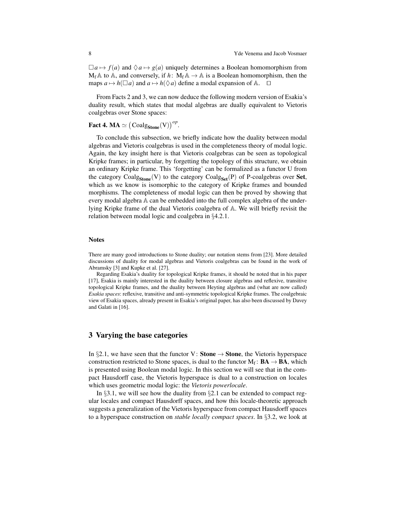$\Box a \mapsto f(a)$  and  $\Diamond a \mapsto g(a)$  uniquely determines a Boolean homomorphism from  $M_f \mathbb{A}$  to  $\mathbb{A}$ , and conversely, if  $h: M_f \mathbb{A} \to \mathbb{A}$  is a Boolean homomorphism, then the maps  $a \mapsto h(\Box a)$  and  $a \mapsto h(\Diamond a)$  define a modal expansion of A.  $\Box$ 

From Facts 2 and 3, we can now deduce the following modern version of Esakia's duality result, which states that modal algebras are dually equivalent to Vietoris coalgebras over Stone spaces:

## Fact 4. MA  $\simeq$   $(\text{Coalg}_{\text{Stone}}(V))^{op}$ .

To conclude this subsection, we briefly indicate how the duality between modal algebras and Vietoris coalgebras is used in the completeness theory of modal logic. Again, the key insight here is that Vietoris coalgebras can be seen as topological Kripke frames; in particular, by forgetting the topology of this structure, we obtain an ordinary Kripke frame. This 'forgetting' can be formalized as a functor U from the category Coalg<sub>Stone</sub>(V) to the category Coalg<sub>Set</sub>(P) of P-coalgebras over Set, which as we know is isomorphic to the category of Kripke frames and bounded morphisms. The completeness of modal logic can then be proved by showing that every modal algebra A can be embedded into the full complex algebra of the underlying Kripke frame of the dual Vietoris coalgebra of A. We will briefly revisit the relation between modal logic and coalgebra in §4.2.1.

#### **Notes**

There are many good introductions to Stone duality; our notation stems from [23]. More detailed discussions of duality for modal algebras and Vietoris coalgebras can be found in the work of Abramsky [3] and Kupke et al. [27].

Regarding Esakia's duality for topological Kripke frames, it should be noted that in his paper [17], Esakia is mainly interested in the duality between closure algebras and reflexive, transitive topological Kripke frames, and the duality between Heyting algebras and (what are now called) *Esakia spaces*: reflexive, transitive and anti-symmetric topological Kripke frames. The coalgebraic view of Esakia spaces, already present in Esakia's original paper, has also been discussed by Davey and Galati in [16].

## 3 Varying the base categories

In §2.1, we have seen that the functor V: **Stone**  $\rightarrow$  **Stone**, the Vietoris hyperspace construction restricted to Stone spaces, is dual to the functor  $M_f: BA \rightarrow BA$ , which is presented using Boolean modal logic. In this section we will see that in the compact Hausdorff case, the Vietoris hyperspace is dual to a construction on locales which uses geometric modal logic: the *Vietoris powerlocale*.

In  $\S 3.1$ , we will see how the duality from  $\S 2.1$  can be extended to compact regular locales and compact Hausdorff spaces, and how this locale-theoretic approach suggests a generalization of the Vietoris hyperspace from compact Hausdorff spaces to a hyperspace construction on *stable locally compact spaces*. In §3.2, we look at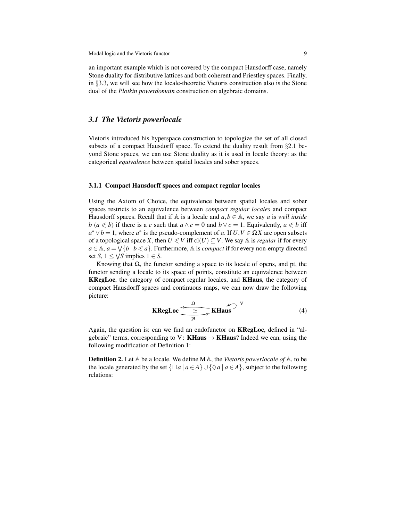an important example which is not covered by the compact Hausdorff case, namely Stone duality for distributive lattices and both coherent and Priestley spaces. Finally, in §3.3, we will see how the locale-theoretic Vietoris construction also is the Stone dual of the *Plotkin powerdomain* construction on algebraic domains.

## *3.1 The Vietoris powerlocale*

Vietoris introduced his hyperspace construction to topologize the set of all closed subsets of a compact Hausdorff space. To extend the duality result from §2.1 beyond Stone spaces, we can use Stone duality as it is used in locale theory: as the categorical *equivalence* between spatial locales and sober spaces.

#### 3.1.1 Compact Hausdorff spaces and compact regular locales

Using the Axiom of Choice, the equivalence between spatial locales and sober spaces restricts to an equivalence between *compact regular locales* and compact Hausdorff spaces. Recall that if  $A$  is a locale and  $a, b \in A$ , we say *a* is *well inside b* (*a*  $\leq$  *b*) if there is a *c* such that *a*  $\wedge$  *c* = 0 and *b*  $\vee$  *c* = 1. Equivalently, *a*  $\leq$  *b* iff  $a^* \vee b = 1$ , where  $a^*$  is the pseudo-complement of *a*. If  $U, V \in \Omega X$  are open subsets of a topological space *X*, then  $U \leq V$  iff cl(*U*)  $\subseteq V$ . We say  $\triangle$  is *regular* if for every  $a \in \mathbb{A}, a = \sqrt{\{b \mid b \leq a\}}.$  Furthermore,  $\mathbb A$  is *compact* if for every non-empty directed set *S*,  $1 \le \sqrt{S}$  implies  $1 \in S$ .

Knowing that  $\Omega$ , the functor sending a space to its locale of opens, and pt, the functor sending a locale to its space of points, constitute an equivalence between KRegLoc, the category of compact regular locales, and KHaus, the category of compact Hausdorff spaces and continuous maps, we can now draw the following picture:

**KRegLoc** 
$$
\xrightarrow{ \Omega} \times
$$
 **KHaus**<sup>V</sup> (4)

Again, the question is: can we find an endofunctor on KRegLoc, defined in "algebraic" terms, corresponding to V: **KHaus**  $\rightarrow$  **KHaus**? Indeed we can, using the following modification of Definition 1:

Definition 2. Let A be a locale. We define MA, the *Vietoris powerlocale of* A, to be the locale generated by the set  $\{\Box a \mid a \in A\} \cup \{\Diamond a \mid a \in A\}$ , subject to the following relations: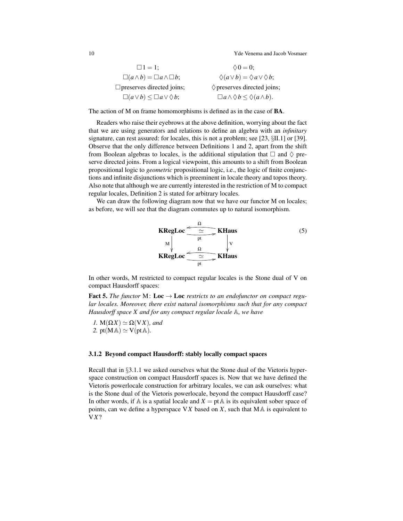10 Yde Venema and Jacob Vosmaer

$$
\Box 1 = 1; \qquad \Diamond 0 = 0;
$$
  
\n
$$
\Box(a \land b) = \Box a \land \Box b; \qquad \Diamond(a \lor b) = \Diamond a \lor \Diamond b;
$$
  
\n
$$
\Box \text{preserves directed joins;} \qquad \Diamond \text{preserves directed joins;}
$$
  
\n
$$
\Box(a \lor b) \leq \Box a \lor \Diamond b; \qquad \Box a \land \Diamond b \leq \Diamond (a \land b).
$$

The action of M on frame homomorphisms is defined as in the case of BA.

Readers who raise their eyebrows at the above definition, worrying about the fact that we are using generators and relations to define an algebra with an *infinitary* signature, can rest assured: for locales, this is not a problem; see [23,  $\S$ II.1] or [39]. Observe that the only difference between Definitions 1 and 2, apart from the shift from Boolean algebras to locales, is the additional stipulation that  $\square$  and  $\diamondsuit$  preserve directed joins. From a logical viewpoint, this amounts to a shift from Boolean propositional logic to *geometric* propositional logic, i.e., the logic of finite conjunctions and infinite disjunctions which is preeminent in locale theory and topos theory. Also note that although we are currently interested in the restriction of M to compact regular locales, Definition 2 is stated for arbitrary locales.

We can draw the following diagram now that we have our functor M on locales; as before, we will see that the diagram commutes up to natural isomorphism.



In other words, M restricted to compact regular locales is the Stone dual of V on compact Hausdorff spaces:

**Fact 5.** The functor  $M:$  **Loc**  $\rightarrow$  **Loc** *restricts to an endofunctor on compact regular locales. Moreover, there exist natural isomorphisms such that for any compact Hausdorff space X and for any compact regular locale* A*, we have*

*I.* 
$$
M(\Omega X) \simeq \Omega(VX)
$$
, and  
2. pt $(M \mathbb{A}) \simeq V(pt \mathbb{A})$ .

#### 3.1.2 Beyond compact Hausdorff: stably locally compact spaces

Recall that in §3.1.1 we asked ourselves what the Stone dual of the Vietoris hyperspace construction on compact Hausdorff spaces is. Now that we have defined the Vietoris powerlocale construction for arbitrary locales, we can ask ourselves: what is the Stone dual of the Vietoris powerlocale, beyond the compact Hausdorff case? In other words, if  $A$  is a spatial locale and  $X = ptA$  is its equivalent sober space of points, can we define a hyperspace V*X* based on *X*, such that MA is equivalent to V*X*?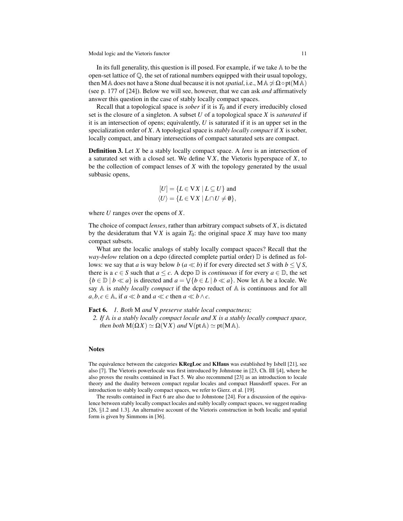In its full generality, this question is ill posed. For example, if we take A to be the open-set lattice of Q, the set of rational numbers equipped with their usual topology, then M  $\mathbb A$  does not have a Stone dual because it is not *spatial*, i.e.,  $M \mathbb A \not\simeq \Omega \circ pt(M \mathbb A)$ (see p. 177 of [24]). Below we will see, however, that we can ask *and* affirmatively answer this question in the case of stably locally compact spaces.

Recall that a topological space is *sober* if it is  $T_0$  and if every irreducibly closed set is the closure of a singleton. A subset *U* of a topological space *X* is *saturated* if it is an intersection of opens; equivalently, *U* is saturated if it is an upper set in the specialization order of *X*. A topological space is *stably locally compact* if *X* is sober, locally compact, and binary intersections of compact saturated sets are compact.

Definition 3. Let *X* be a stably locally compact space. A *lens* is an intersection of a saturated set with a closed set. We define V*X*, the Vietoris hyperspace of *X*, to be the collection of compact lenses of *X* with the topology generated by the usual subbasic opens,

$$
[U] = \{L \in \mathbf{V}X \mid L \subseteq U\} \text{ and}
$$
  

$$
\langle U \rangle = \{L \in \mathbf{V}X \mid L \cap U \neq \emptyset\},\
$$

where *U* ranges over the opens of *X*.

The choice of compact *lenses*, rather than arbitrary compact subsets of *X*, is dictated by the desideratum that  $V X$  is again  $T_0$ : the original space  $X$  may have too many compact subsets.

What are the localic analogs of stably locally compact spaces? Recall that the *way-below* relation on a dcpo (directed complete partial order)  $\mathbb{D}$  is defined as follows: we say that *a* is way below *b* ( $a \ll b$ ) if for every directed set *S* with  $b \le \sqrt{S}$ , there is a *c* ∈ *S* such that *a* ≤ *c*. A dcpo  $\mathbb{D}$  is *continuous* if for every *a* ∈  $\mathbb{D}$ , the set  ${b \in \mathbb{D} \mid b \ll a}$  is directed and  $a = \sqrt{b \in L \mid b \ll a}$ . Now let A be a locale. We say A is *stably locally compact* if the dcpo reduct of A is continuous and for all  $a, b, c \in \mathbb{A}$ , if  $a \ll b$  and  $a \ll c$  then  $a \ll b \land c$ .

Fact 6. *1. Both* M *and* V *preserve stable local compactness;*

*2. If* A *is a stably locally compact locale and X is a stably locally compact space, then both*  $M(\Omega X) \simeq \Omega(VX)$  *and*  $V(pt A) \simeq pt(M A)$ *.* 

#### Notes

The equivalence between the categories KRegLoc and KHaus was established by Isbell [21], see also [7]. The Vietoris powerlocale was first introduced by Johnstone in [23, Ch. III §4], where he also proves the results contained in Fact 5. We also recommend [23] as an introduction to locale theory and the duality between compact regular locales and compact Hausdorff spaces. For an introduction to stably locally compact spaces, we refer to Gierz. et al. [19].

The results contained in Fact 6 are also due to Johnstone [24]. For a discussion of the equivalence between stably locally compact locales and stably locally compact spaces, we suggest reading [26, §1.2 and 1.3]. An alternative account of the Vietoris construction in both localic and spatial form is given by Simmons in [36].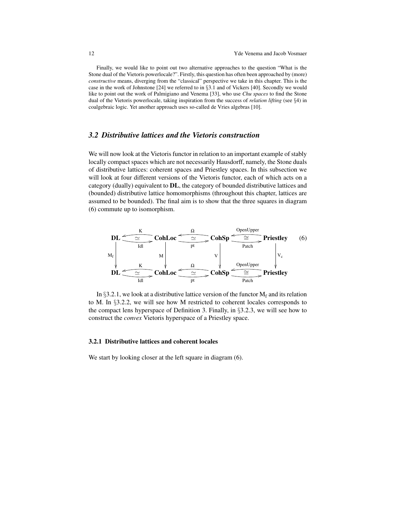Finally, we would like to point out two alternative approaches to the question "What is the Stone dual of the Vietoris powerlocale?". Firstly, this question has often been approached by (more) *constructive* means, diverging from the "classical" perspective we take in this chapter. This is the case in the work of Johnstone [24] we referred to in §3.1 and of Vickers [40]. Secondly we would like to point out the work of Palmigiano and Venema [33], who use *Chu spaces* to find the Stone dual of the Vietoris powerlocale, taking inspiration from the success of *relation lifting* (see §4) in coalgebraic logic. Yet another approach uses so-called de Vries algebras [10].

## *3.2 Distributive lattices and the Vietoris construction*

We will now look at the Vietoris functor in relation to an important example of stably locally compact spaces which are not necessarily Hausdorff, namely, the Stone duals of distributive lattices: coherent spaces and Priestley spaces. In this subsection we will look at four different versions of the Vietoris functor, each of which acts on a category (dually) equivalent to DL, the category of bounded distributive lattices and (bounded) distributive lattice homomorphisms (throughout this chapter, lattices are assumed to be bounded). The final aim is to show that the three squares in diagram (6) commute up to isomorphism.



In §3.2.1, we look at a distributive lattice version of the functor  $M_f$  and its relation to M. In §3.2.2, we will see how M restricted to coherent locales corresponds to the compact lens hyperspace of Definition 3. Finally, in §3.2.3, we will see how to construct the *convex* Vietoris hyperspace of a Priestley space.

#### 3.2.1 Distributive lattices and coherent locales

We start by looking closer at the left square in diagram  $(6)$ .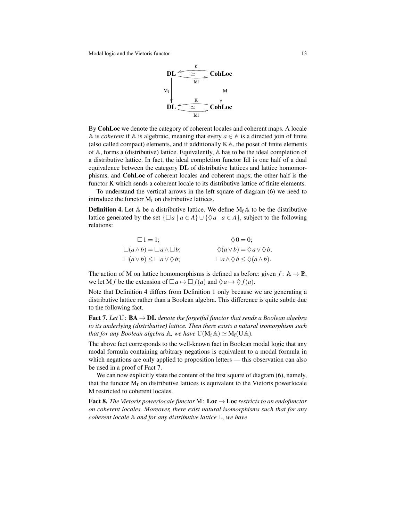$$
\begin{array}{c}\n\mathbf{DL} \xleftarrow{\kappa} \mathbf{CohLoc} \\
\hline\nM_f \\
\downarrow \\
\mathbf{DL} \xleftarrow{\kappa} \mathbf{CohLoc}\n\end{array}
$$

By CohLoc we denote the category of coherent locales and coherent maps. A locale A is *coherent* if A is algebraic, meaning that every  $a \in A$  is a directed join of finite (also called compact) elements, and if additionally KA, the poset of finite elements of A, forms a (distributive) lattice. Equivalently, A has to be the ideal completion of a distributive lattice. In fact, the ideal completion functor Idl is one half of a dual equivalence between the category DL of distributive lattices and lattice homomorphisms, and CohLoc of coherent locales and coherent maps; the other half is the functor K which sends a coherent locale to its distributive lattice of finite elements.

To understand the vertical arrows in the left square of diagram (6) we need to introduce the functor  $M_f$  on distributive lattices.

**Definition 4.** Let A be a distributive lattice. We define  $M_f A$  to be the distributive lattice generated by the set  ${\Box a \mid a \in A} \cup {\Diamond a \mid a \in A}$ , subject to the following relations:

| $\Box 1 = 1$ ;                                | $\Diamond 0 = 0.$                                      |
|-----------------------------------------------|--------------------------------------------------------|
| $\Box(a \wedge b) = \Box a \wedge \Box b;$    | $\Diamond(a \vee b) = \Diamond a \vee \Diamond b;$     |
| $\Box(a \vee b) \leq \Box a \vee \Diamond b;$ | $\Box a \wedge \Diamond b \leq \Diamond (a \wedge b).$ |

The action of M on lattice homomorphisms is defined as before: given  $f: A \to \mathbb{B}$ , we let M *f* be the extension of  $\Box a \mapsto \Box f(a)$  and  $\Diamond a \mapsto \Diamond f(a)$ .

Note that Definition 4 differs from Definition 1 only because we are generating a distributive lattice rather than a Boolean algebra. This difference is quite subtle due to the following fact.

**Fact 7.** *Let*  $U: BA \rightarrow DL$  *denote the forgetful functor that sends a Boolean algebra to its underlying (distributive) lattice. Then there exists a natural isomorphism such that for any Boolean algebra* A, we have  $U(M_f A) \simeq M_f(U A)$ .

The above fact corresponds to the well-known fact in Boolean modal logic that any modal formula containing arbitrary negations is equivalent to a modal formula in which negations are only applied to proposition letters — this observation can also be used in a proof of Fact 7.

We can now explicitly state the content of the first square of diagram  $(6)$ , namely, that the functor  $M_f$  on distributive lattices is equivalent to the Vietoris powerlocale M restricted to coherent locales.

Fact 8. *The Vietoris powerlocale functor* M: Loc → Loc *restricts to an endofunctor on coherent locales. Moreover, there exist natural isomorphisms such that for any coherent locale* A *and for any distributive lattice* L*, we have*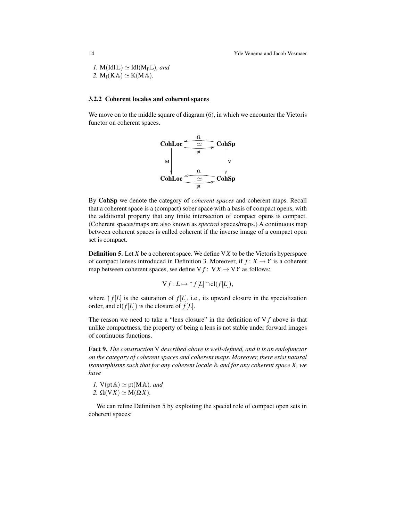*1.*  $M(\text{Idl}\mathbb{L}) \simeq \text{Idl}(M_f\mathbb{L})$ *, and* 2.  $M_f(K \mathbb{A}) \simeq K(M \mathbb{A})$ .

#### 3.2.2 Coherent locales and coherent spaces

We move on to the middle square of diagram  $(6)$ , in which we encounter the Vietoris functor on coherent spaces.



By CohSp we denote the category of *coherent spaces* and coherent maps. Recall that a coherent space is a (compact) sober space with a basis of compact opens, with the additional property that any finite intersection of compact opens is compact. (Coherent spaces/maps are also known as *spectral* spaces/maps.) A continuous map between coherent spaces is called coherent if the inverse image of a compact open set is compact.

Definition 5. Let *X* be a coherent space. We define V*X* to be the Vietoris hyperspace of compact lenses introduced in Definition 3. Moreover, if  $f: X \to Y$  is a coherent map between coherent spaces, we define  $V f: V X \rightarrow V Y$  as follows:

$$
V f: L \mapsto \uparrow f[L] \cap cl(f[L]),
$$

where  $\uparrow f[L]$  is the saturation of  $f[L]$ , i.e., its upward closure in the specialization order, and  $cl(f[L])$  is the closure of  $f[L]$ .

The reason we need to take a "lens closure" in the definition of V *f* above is that unlike compactness, the property of being a lens is not stable under forward images of continuous functions.

Fact 9. *The construction* V *described above is well-defined, and it is an endofunctor on the category of coherent spaces and coherent maps. Moreover, there exist natural isomorphisms such that for any coherent locale* A *and for any coherent space X, we have*

*1.*  $V(pt A) \simeq pt(M A)$ *, and* 2.  $\Omega(VX) \simeq M(\Omega X)$ .

We can refine Definition 5 by exploiting the special role of compact open sets in coherent spaces: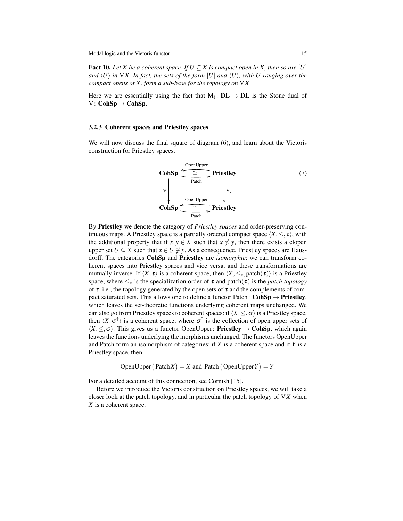**Fact 10.** Let X be a coherent space. If  $U \subseteq X$  is compact open in X, then so are [U] *and*  $\langle U \rangle$  *in* V*X. In fact, the sets of the form* [*U*] *and*  $\langle U \rangle$ *, with U ranging over the compact opens of X, form a sub-base for the topology on* V*X.*

Here we are essentially using the fact that  $M_f$ :  $DL \rightarrow DL$  is the Stone dual of V:  $\mathbf{CohSp} \to \mathbf{CohSp}.$ 

#### 3.2.3 Coherent spaces and Priestley spaces

We will now discuss the final square of diagram  $(6)$ , and learn about the Vietoris construction for Priestley spaces.



By Priestley we denote the category of *Priestley spaces* and order-preserving continuous maps. A Priestley space is a partially ordered compact space  $\langle X, \leq, \tau \rangle$ , with the additional property that if  $x, y \in X$  such that  $x \nleq y$ , then there exists a clopen upper set  $U \subseteq X$  such that  $x \in U \neq y$ . As a consequence, Priestley spaces are Hausdorff. The categories CohSp and Priestley are *isomorphic*: we can transform coherent spaces into Priestley spaces and vice versa, and these transformations are mutually inverse. If  $\langle X, \tau \rangle$  is a coherent space, then  $\langle X, \leq_{\tau}$ , patch $(\tau)$ ) is a Priestley space, where  $\leq_{\tau}$  is the specialization order of  $\tau$  and patch( $\tau$ ) is the *patch topology* of  $\tau$ , i.e., the topology generated by the open sets of  $\tau$  and the complements of compact saturated sets. This allows one to define a functor Patch:  $\text{CohSp} \rightarrow \text{Priestley}$ , which leaves the set-theoretic functions underlying coherent maps unchanged. We can also go from Priestley spaces to coherent spaces: if  $\langle X, \leq, \sigma \rangle$  is a Priestley space, then  $\langle X, \sigma^{\uparrow} \rangle$  is a coherent space, where  $\sigma^{\uparrow}$  is the collection of open upper sets of  $\langle X, \leq, \sigma \rangle$ . This gives us a functor OpenUpper: **Priestley**  $\rightarrow$  CohSp, which again leaves the functions underlying the morphisms unchanged. The functors OpenUpper and Patch form an isomorphism of categories: if *X* is a coherent space and if *Y* is a Priestley space, then

OpenUpper (Patch 
$$
X
$$
) =  $X$  and Patch (OpenUpper  $Y$ ) =  $Y$ .

For a detailed account of this connection, see Cornish [15].

Before we introduce the Vietoris construction on Priestley spaces, we will take a closer look at the patch topology, and in particular the patch topology of V*X* when *X* is a coherent space.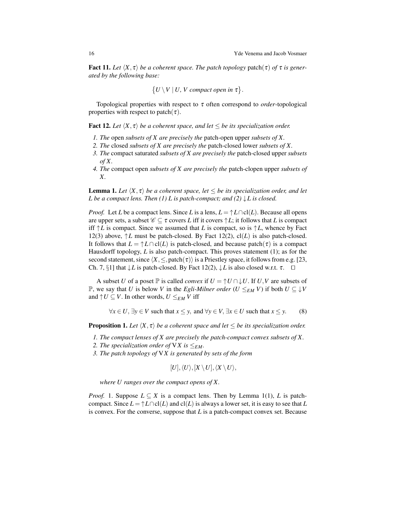**Fact 11.** Let  $\langle X, \tau \rangle$  be a coherent space. The patch topology patch( $\tau$ ) of  $\tau$  is gener*ated by the following base:*

$$
\{U\setminus V \mid U, V \text{ compact open in } \tau\}.
$$

Topological properties with respect to τ often correspond to *order*-topological properties with respect to patch( $\tau$ ).

**Fact 12.** Let  $\langle X, \tau \rangle$  be a coherent space, and let  $\leq$  be its specialization order.

- *1. The* open *subsets of X are precisely the* patch-open upper *subsets of X.*
- *2. The* closed *subsets of X are precisely the* patch-closed lower *subsets of X.*
- *3. The* compact saturated *subsets of X are precisely the* patch-closed upper *subsets of X.*
- *4. The* compact open *subsets of X are precisely the* patch-clopen upper *subsets of X.*

**Lemma 1.** Let  $\langle X, \tau \rangle$  be a coherent space, let  $\leq$  be its specialization order, and let *L* be a compact lens. Then (1) *L* is patch-compact; and (2)  $\downarrow$ *L* is closed.

*Proof.* Let *L* be a compact lens. Since *L* is a lens,  $L = \uparrow L \cap cl(L)$ . Because all opens are upper sets, a subset  $\mathscr{C} \subseteq \tau$  covers *L* iff it covers  $\uparrow L$ ; it follows that *L* is compact iff  $\uparrow$ *L* is compact. Since we assumed that *L* is compact, so is  $\uparrow$ *L*, whence by Fact 12(3) above,  $\uparrow L$  must be patch-closed. By Fact 12(2), cl(*L*) is also patch-closed. It follows that  $L = \uparrow L \cap cl(L)$  is patch-closed, and because patch( $\tau$ ) is a compact Hausdorff topology, *L* is also patch-compact. This proves statement (1); as for the second statement, since  $\langle X, \leq$ , patch $(\tau)$ ) is a Priestley space, it follows from e.g. [23, Ch. 7, §1] that  $\downarrow$ *L* is patch-closed. By Fact 12(2),  $\downarrow$ *L* is also closed w.r.t.  $\tau$ .  $\Box$ 

A subset *U* of a poset  $\mathbb P$  is called *convex* if  $U = \Upsilon \cap \cup U$ . If  $U, V$  are subsets of P, we say that *U* is below *V* in the *Egli-Milner order* (*U* ≤*EM V*) if both *U* ⊆ ↓*V* and  $\uparrow U \subseteq V$ . In other words,  $U \leq_{EM} V$  iff

 $forall x \in U, \exists y \in V$  such that *x* ≤ *y*, and  $forall y \in V, \exists x \in U$  such that *x* ≤ *y*. (8)

**Proposition 1.** Let  $\langle X, \tau \rangle$  *be a coherent space and let*  $\leq$  *be its specialization order.* 

- *1. The compact lenses of X are precisely the patch-compact convex subsets of X.*
- 2. *The specialization order of*  $V X$  *is*  $\leq_{EM}$ *.*
- *3. The patch topology of* V*X is generated by sets of the form*

$$
[U], \langle U \rangle, [X \setminus U], \langle X \setminus U \rangle,
$$

*where U ranges over the compact opens of X.*

*Proof.* 1. Suppose  $L \subseteq X$  is a compact lens. Then by Lemma 1(1), L is patchcompact. Since  $L = \uparrow L \cap cl(L)$  and  $cl(L)$  is always a lower set, it is easy to see that L is convex. For the converse, suppose that *L* is a patch-compact convex set. Because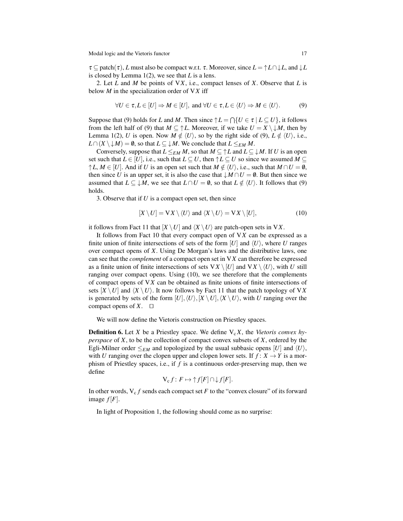$\tau \subset$  patch( $\tau$ ), *L* must also be compact w.r.t.  $\tau$ . Moreover, since  $L = \uparrow L \cap \downarrow L$ , and  $\downarrow L$ is closed by Lemma 1(2), we see that *L* is a lens.

2. Let *L* and *M* be points of V*X*, i.e., compact lenses of *X*. Observe that *L* is below *M* in the specialization order of V*X* iff

$$
\forall U \in \tau, L \in [U] \Rightarrow M \in [U], \text{ and } \forall U \in \tau, L \in \langle U \rangle \Rightarrow M \in \langle U \rangle. \tag{9}
$$

Suppose that (9) holds for *L* and *M*. Then since  $\uparrow L = \bigcap \{ U \in \tau \mid L \subseteq U \}$ , it follows from the left half of (9) that  $M \subset \Upsilon L$ . Moreover, if we take  $U = X \setminus \cup M$ , then by Lemma 1(2), *U* is open. Now  $M \notin \langle U \rangle$ , so by the right side of (9),  $L \notin \langle U \rangle$ , i.e.,  $L \cap (X \setminus \downarrow M) = \emptyset$ , so that  $L \subseteq \downarrow M$ . We conclude that  $L \leq_{EM} M$ .

Conversely, suppose that  $L \leq_{EM} M$ , so that  $M \subseteq \uparrow L$  and  $L \subseteq \downarrow M$ . If U is an open set such that  $L \in [U]$ , i.e., such that  $L \subseteq U$ , then  $\uparrow L \subseteq U$  so since we assumed  $M \subseteq$  $\uparrow L$ ,  $M \in [U]$ . And if *U* is an open set such that  $M \notin \langle U \rangle$ , i.e., such that  $M \cap U = \emptyset$ , then since *U* is an upper set, it is also the case that  $\downarrow M \cap U = \emptyset$ . But then since we assumed that  $L \subseteq \downarrow M$ , we see that  $L \cap U = \emptyset$ , so that  $L \notin \langle U \rangle$ . It follows that (9) holds.

3. Observe that if *U* is a compact open set, then since

$$
[X \setminus U] = \mathbf{V}X \setminus \langle U \rangle \text{ and } \langle X \setminus U \rangle = \mathbf{V}X \setminus [U], \tag{10}
$$

it follows from Fact 11 that  $[X \setminus U]$  and  $\langle X \setminus U \rangle$  are patch-open sets in VX.

It follows from Fact 10 that every compact open of V*X* can be expressed as a finite union of finite intersections of sets of the form  $[U]$  and  $\langle U \rangle$ , where *U* ranges over compact opens of *X*. Using De Morgan's laws and the distributive laws, one can see that the *complement* of a compact open set in V*X* can therefore be expressed as a finite union of finite intersections of sets  $V X \setminus [U]$  and  $V X \setminus \langle U \rangle$ , with *U* still ranging over compact opens. Using (10), we see therefore that the complements of compact opens of V*X* can be obtained as finite unions of finite intersections of sets  $[X \setminus U]$  and  $\langle X \setminus U \rangle$ . It now follows by Fact 11 that the patch topology of V*X* is generated by sets of the form  $[U], \langle U \rangle, [X \setminus U], \langle X \setminus U \rangle$ , with *U* ranging over the compact opens of  $X$ .  $\square$ 

We will now define the Vietoris construction on Priestley spaces.

**Definition 6.** Let *X* be a Priestley space. We define  $V_c X$ , the *Vietoris convex hyperspace* of *X*, to be the collection of compact convex subsets of *X*, ordered by the Egli-Milner order  $\leq_{EM}$  and topologized by the usual subbasic opens [*U*] and  $\langle U \rangle$ , with *U* ranging over the clopen upper and clopen lower sets. If  $f: X \to Y$  is a morphism of Priestley spaces, i.e., if *f* is a continuous order-preserving map, then we define

$$
\mathsf{V}_\mathsf{c} f\colon F\mapsto\mathop{\uparrow} f[F]\cap\mathop{\downarrow} f[F].
$$

In other words,  $V_c f$  sends each compact set  $F$  to the "convex closure" of its forward image  $f[F]$ .

In light of Proposition 1, the following should come as no surprise: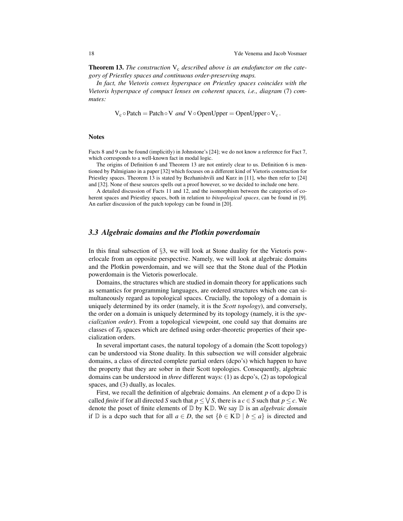**Theorem 13.** The construction  $V_c$  described above is an endofunctor on the cate*gory of Priestley spaces and continuous order-preserving maps.*

*In fact, the Vietoris convex hyperspace on Priestley spaces coincides with the Vietoris hyperspace of compact lenses on coherent spaces, i.e., diagram* (7) *commutes:*

 $V_c \circ$ Patch = Patch  $\circ V$  *and*  $V \circ$  OpenUpper = OpenUpper  $\circ V_c$ .

#### **Notes**

Facts 8 and 9 can be found (implicitly) in Johnstone's [24]; we do not know a reference for Fact 7, which corresponds to a well-known fact in modal logic.

The origins of Definition 6 and Theorem 13 are not entirely clear to us. Definition 6 is mentioned by Palmigiano in a paper [32] which focuses on a different kind of Vietoris construction for Priestley spaces. Theorem 13 is stated by Bezhanishvili and Kurz in [11], who then refer to [24] and [32]. None of these sources spells out a proof however, so we decided to include one here.

A detailed discussion of Facts 11 and 12, and the isomorphism between the categories of coherent spaces and Priestley spaces, both in relation to *bitopological spaces*, can be found in [9]. An earlier discussion of the patch topology can be found in [20].

## *3.3 Algebraic domains and the Plotkin powerdomain*

In this final subsection of  $\S$ 3, we will look at Stone duality for the Vietoris powerlocale from an opposite perspective. Namely, we will look at algebraic domains and the Plotkin powerdomain, and we will see that the Stone dual of the Plotkin powerdomain is the Vietoris powerlocale.

Domains, the structures which are studied in domain theory for applications such as semantics for programming languages, are ordered structures which one can simultaneously regard as topological spaces. Crucially, the topology of a domain is uniquely determined by its order (namely, it is the *Scott topology*), and conversely, the order on a domain is uniquely determined by its topology (namely, it is the *specialization order*). From a topological viewpoint, one could say that domains are classes of  $T_0$  spaces which are defined using order-theoretic properties of their specialization orders.

In several important cases, the natural topology of a domain (the Scott topology) can be understood via Stone duality. In this subsection we will consider algebraic domains, a class of directed complete partial orders (dcpo's) which happen to have the property that they are sober in their Scott topologies. Consequently, algebraic domains can be understood in *three* different ways: (1) as dcpo's, (2) as topological spaces, and (3) dually, as locales.

First, we recall the definition of algebraic domains. An element  $p$  of a dcpo  $D$  is called *finite* if for all directed *S* such that  $p \le \sqrt{S}$ , there is a  $c \in S$  such that  $p \le c$ . We denote the poset of finite elements of D by KD. We say D is an *algebraic domain* if D is a dcpo such that for all  $a \in D$ , the set  $\{b \in K\mathbb{D} \mid b \leq a\}$  is directed and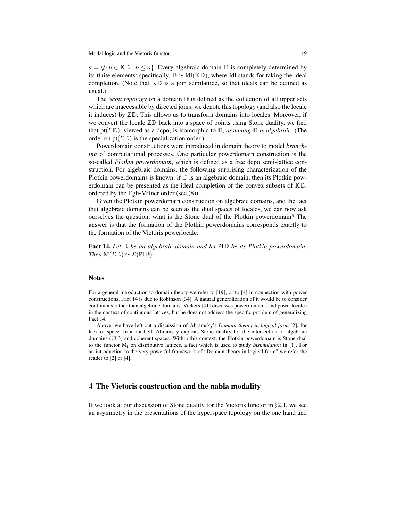$a = \sqrt{b \in K} \mathbb{D} \mid b \le a$ . Every algebraic domain  $\mathbb{D}$  is completely determined by its finite elements; specifically,  $\mathbb{D} \simeq \text{Idl}(K\mathbb{D})$ , where Idl stands for taking the ideal completion. (Note that  $K\mathbb{D}$  is a join semilattice, so that ideals can be defined as usual.)

The *Scott topology* on a domain  $\mathbb{D}$  is defined as the collection of all upper sets which are inaccessible by directed joins; we denote this topology (and also the locale it induces) by  $\Sigma\mathbb{D}$ . This allows us to transform domains into locales. Moreover, if we convert the locale  $\Sigma\mathbb{D}$  back into a space of points using Stone duality, we find that pt(ΣD), viewed as a dcpo, is isomorphic to D, *assuming* D *is algebraic*. (The order on  $pt(\Sigma\mathbb{D})$  is the specialization order.)

Powerdomain constructions were introduced in domain theory to model *branching* of computational processes. One particular powerdomain construction is the so-called *Plotkin powerdomain*, which is defined as a free dcpo semi-lattice construction. For algebraic domains, the following surprising characterization of the Plotkin powerdomains is known: if  $D$  is an algebraic domain, then its Plotkin powerdomain can be presented as the ideal completion of the convex subsets of KD, ordered by the Egli-Milner order (see (8)).

Given the Plotkin powerdomain construction on algebraic domains, and the fact that algebraic domains can be seen as the dual spaces of locales, we can now ask ourselves the question: what is the Stone dual of the Plotkin powerdomain? The answer is that the formation of the Plotkin powerdomains corresponds exactly to the formation of the Vietoris powerlocale.

Fact 14. *Let* D *be an algebraic domain and let* PlD *be its Plotkin powerdomain. Then*  $M(\Sigma \mathbb{D}) \simeq \Sigma(P1 \mathbb{D})$ *.* 

#### **Notes**

For a general introduction to domain theory we refer to [19], or to [4] in connection with power constructions. Fact 14 is due to Robinson [34]. A natural generalization of it would be to consider continuous rather than algebraic domains. Vickers [41] discusses powerdomains and powerlocales in the context of continuous lattices, but he does not address the specific problem of generalizing Fact 14.

Above, we have left out a discussion of Abramsky's *Domain theory in logical form* [2], for lack of space. In a nutshell, Abramsky exploits Stone duality for the intersection of algebraic domains (§3.3) and coherent spaces. Within this context, the Plotkin powerdomain is Stone dual to the functor  $M_f$  on distributive lattices, a fact which is used to study *bisimulation* in [1]. For an introduction to the very powerful framework of "Domain theory in logical form" we refer the reader to [2] or [4].

## 4 The Vietoris construction and the nabla modality

If we look at our discussion of Stone duality for the Vietoris functor in  $\S 2.1$ , we see an asymmetry in the presentations of the hyperspace topology on the one hand and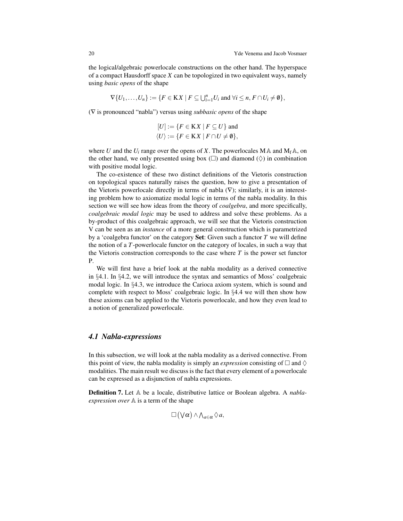the logical/algebraic powerlocale constructions on the other hand. The hyperspace of a compact Hausdorff space *X* can be topologized in two equivalent ways, namely using *basic opens* of the shape

$$
\nabla \{U_1,\ldots,U_n\} := \{F \in \mathbb{K}X \mid F \subseteq \bigcup_{i=1}^n U_i \text{ and } \forall i \leq n, F \cap U_i \neq \emptyset\},\
$$

(∇ is pronounced "nabla") versus using *subbasic opens* of the shape

$$
[U] := \{ F \in \mathbf{K}X \mid F \subseteq U \} \text{ and }
$$
  

$$
\langle U \rangle := \{ F \in \mathbf{K}X \mid F \cap U \neq \emptyset \},
$$

where *U* and the  $U_i$  range over the opens of *X*. The powerlocales M  $\mathbb{A}$  and  $M_f \mathbb{A}$ , on the other hand, we only presented using box  $(\square)$  and diamond  $(\Diamond)$  in combination with positive modal logic.

The co-existence of these two distinct definitions of the Vietoris construction on topological spaces naturally raises the question, how to give a presentation of the Vietoris powerlocale directly in terms of nabla  $(\nabla)$ ; similarly, it is an interesting problem how to axiomatize modal logic in terms of the nabla modality. In this section we will see how ideas from the theory of *coalgebra*, and more specifically, *coalgebraic modal logic* may be used to address and solve these problems. As a by-product of this coalgebraic approach, we will see that the Vietoris construction V can be seen as an *instance* of a more general construction which is parametrized by a 'coalgebra functor' on the category Set: Given such a functor *T* we will define the notion of a *T*-powerlocale functor on the category of locales, in such a way that the Vietoris construction corresponds to the case where *T* is the power set functor P.

We will first have a brief look at the nabla modality as a derived connective in §4.1. In §4.2, we will introduce the syntax and semantics of Moss' coalgebraic modal logic. In §4.3, we introduce the Carioca axiom system, which is sound and complete with respect to Moss' coalgebraic logic. In §4.4 we will then show how these axioms can be applied to the Vietoris powerlocale, and how they even lead to a notion of generalized powerlocale.

## *4.1 Nabla-expressions*

In this subsection, we will look at the nabla modality as a derived connective. From this point of view, the nabla modality is simply an *expression* consisting of  $\square$  and  $\diamond$ modalities. The main result we discuss is the fact that every element of a powerlocale can be expressed as a disjunction of nabla expressions.

Definition 7. Let A be a locale, distributive lattice or Boolean algebra. A *nablaexpression over* A is a term of the shape

$$
\Box(\bigvee\alpha)\wedge\bigwedge_{a\in\alpha}\Diamond a,
$$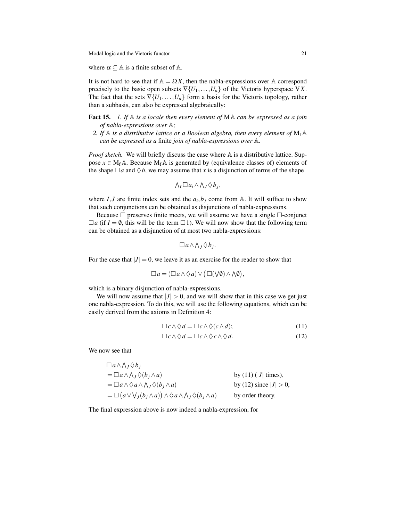where  $\alpha \subseteq \mathbb{A}$  is a finite subset of  $\mathbb{A}$ .

It is not hard to see that if  $A = \Omega X$ , then the nabla-expressions over A correspond precisely to the basic open subsets  $\nabla \{U_1, \ldots, U_n\}$  of the Vietoris hyperspace V*X*. The fact that the sets  $\nabla \{U_1, \ldots, U_n\}$  form a basis for the Vietoris topology, rather than a subbasis, can also be expressed algebraically:

- Fact 15. *1. If* A *is a locale then every element of* MA *can be expressed as a join of nabla-expressions over* A*;*
	- 2. If  $\mathbb A$  *is a distributive lattice or a Boolean algebra, then every element of*  $M_f \mathbb A$ *can be expressed as a* finite *join of nabla-expressions over* A*.*

*Proof sketch.* We will briefly discuss the case where A is a distributive lattice. Suppose  $x \in M_f \mathbb{A}$ . Because  $M_f \mathbb{A}$  is generated by (equivalence classes of) elements of the shape  $\Box a$  and  $\Diamond b$ , we may assume that *x* is a disjunction of terms of the shape

$$
\bigwedge_I \Box a_i \wedge \bigwedge_J \Diamond b_j,
$$

where  $I, J$  are finite index sets and the  $a_i, b_j$  come from A. It will suffice to show that such conjunctions can be obtained as disjunctions of nabla-expressions.

Because  $\Box$  preserves finite meets, we will assume we have a single  $\Box$ -conjunct  $\Box a$  (if  $I = \emptyset$ , this will be the term  $\Box 1$ ). We will now show that the following term can be obtained as a disjunction of at most two nabla-expressions:

$$
\Box a \wedge \bigwedge_J \Diamond b_j.
$$

For the case that  $|J| = 0$ , we leave it as an exercise for the reader to show that

$$
\Box a = (\Box a \land \Diamond a) \lor (\Box(\bigvee \emptyset) \land \bigwedge \emptyset),
$$

which is a binary disjunction of nabla-expressions.

We will now assume that  $|J| > 0$ , and we will show that in this case we get just one nabla-expression. To do this, we will use the following equations, which can be easily derived from the axioms in Definition 4:

$$
\Box c \land \Diamond d = \Box c \land \Diamond (c \land d); \tag{11}
$$

$$
\Box c \land \Diamond d = \Box c \land \Diamond c \land \Diamond d. \tag{12}
$$

We now see that

$$
\Box a \land \bigwedge_J \Diamond b_j
$$
  
=  $\Box a \land \bigwedge_J \Diamond (b_j \land a)$   
=  $\Box a \land \bigwedge_J \Diamond (b_j \land a)$   
=  $\Box (a \lor \bigvee_J (b_j \land a)) \land \Diamond a \land \bigwedge_J \Diamond (b_j \land a)$   
by (12) since  $|J| > 0$ ,  
by order theory.

The final expression above is now indeed a nabla-expression, for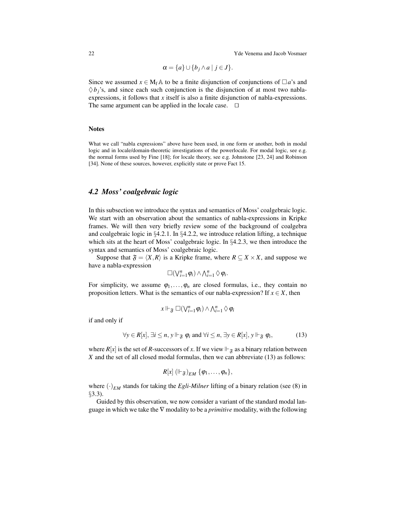22 Yde Venema and Jacob Vosmaer

$$
\alpha = \{a\} \cup \{b_j \wedge a \mid j \in J\}.
$$

Since we assumed  $x \in M_f \mathbb{A}$  to be a finite disjunction of conjunctions of  $\Box a$ 's and  $\Diamond b_i$ 's, and since each such conjunction is the disjunction of at most two nablaexpressions, it follows that *x* itself is also a finite disjunction of nabla-expressions. The same argument can be applied in the locale case.  $\Box$ 

#### **Notes**

What we call "nabla expressions" above have been used, in one form or another, both in modal logic and in locale/domain-theoretic investigations of the powerlocale. For modal logic, see e.g. the normal forms used by Fine [18]; for locale theory, see e.g. Johnstone [23, 24] and Robinson [34]. None of these sources, however, explicitly state or prove Fact 15.

## *4.2 Moss' coalgebraic logic*

In this subsection we introduce the syntax and semantics of Moss' coalgebraic logic. We start with an observation about the semantics of nabla-expressions in Kripke frames. We will then very briefly review some of the background of coalgebra and coalgebraic logic in §4.2.1. In §4.2.2, we introduce relation lifting, a technique which sits at the heart of Moss' coalgebraic logic. In §4.2.3, we then introduce the syntax and semantics of Moss' coalgebraic logic.

Suppose that  $\mathfrak{F} = \langle X, R \rangle$  is a Kripke frame, where  $R \subseteq X \times X$ , and suppose we have a nabla-expression

$$
\Box(\bigvee_{i=1}^{n}\varphi_{i})\wedge\bigwedge_{i=1}^{n}\Diamond\varphi_{i}.
$$

For simplicity, we assume  $\varphi_1, \ldots, \varphi_n$  are closed formulas, i.e., they contain no proposition letters. What is the semantics of our nabla-expression? If  $x \in X$ , then

$$
x \Vdash_{\mathfrak{F}} \Box(\bigvee_{i=1}^{n} \varphi_i) \wedge \bigwedge_{i=1}^{n} \Diamond \varphi_i
$$

if and only if

$$
\forall y \in R[x], \exists i \le n, y \Vdash_{\mathfrak{F}} \varphi_i \text{ and } \forall i \le n, \exists y \in R[x], y \Vdash_{\mathfrak{F}} \varphi_i,
$$
 (13)

where  $R[x]$  is the set of *R*-successors of *x*. If we view  $\Vdash_{\mathfrak{F}}$  as a binary relation between *X* and the set of all closed modal formulas, then we can abbreviate (13) as follows:

$$
R[x] (H_{\mathfrak{F}})_{EM} {\varphi_1, \ldots, \varphi_n},
$$

where  $(\cdot)_{EM}$  stands for taking the *Egli-Milner* lifting of a binary relation (see (8) in §3.3).

Guided by this observation, we now consider a variant of the standard modal language in which we take the ∇ modality to be a *primitive* modality, with the following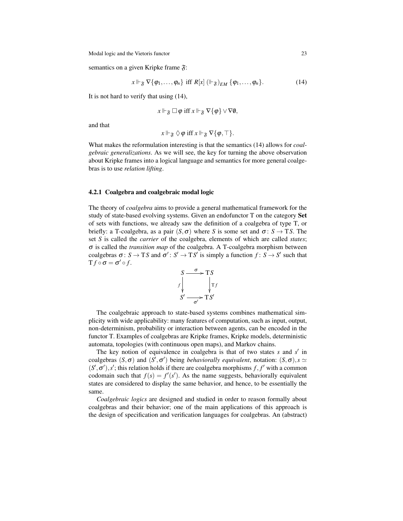semantics on a given Kripke frame  $\mathfrak{F}$ :

$$
x \Vdash_{\mathfrak{F}} \nabla \{\varphi_1, \ldots, \varphi_n\} \text{ iff } R[x] \left(\Vdash_{\mathfrak{F}}\right)_{EM} \{\varphi_1, \ldots, \varphi_n\}. \tag{14}
$$

It is not hard to verify that using (14),

$$
x \Vdash_{\mathfrak{F}} \Box \varphi \text{ iff } x \Vdash_{\mathfrak{F}} \nabla \{\varphi\} \vee \nabla \varnothing,
$$

and that

$$
x \Vdash_{\mathfrak{F}} \Diamond \varphi \text{ iff } x \Vdash_{\mathfrak{F}} \nabla \{\varphi, \top\}.
$$

What makes the reformulation interesting is that the semantics (14) allows for *coalgebraic generalizations*. As we will see, the key for turning the above observation about Kripke frames into a logical language and semantics for more general coalgebras is to use *relation lifting*.

#### 4.2.1 Coalgebra and coalgebraic modal logic

The theory of *coalgebra* aims to provide a general mathematical framework for the study of state-based evolving systems. Given an endofunctor T on the category Set of sets with functions, we already saw the definition of a coalgebra of type T, or briefly: a T-coalgebra, as a pair  $(S, \sigma)$  where *S* is some set and  $\sigma: S \to TS$ . The set *S* is called the *carrier* of the coalgebra, elements of which are called *states*; σ is called the *transition map* of the coalgebra. A T-coalgebra morphism between coalgebras  $\sigma: S \to TS$  and  $\sigma': S' \to TS'$  is simply a function  $f: S \to S'$  such that  $T f \circ \sigma = \sigma' \circ f$ .



The coalgebraic approach to state-based systems combines mathematical simplicity with wide applicability: many features of computation, such as input, output, non-determinism, probability or interaction between agents, can be encoded in the functor T. Examples of coalgebras are Kripke frames, Kripke models, deterministic automata, topologies (with continuous open maps), and Markov chains.

The key notion of equivalence in coalgebra is that of two states  $s$  and  $s'$  in coalgebras  $(S, \sigma)$  and  $(S', \sigma')$  being *behaviorally equivalent*, notation:  $(S, \sigma)$ ,  $s \simeq$  $(S', \sigma'), s'$ ; this relation holds if there are coalgebra morphisms  $f, f'$  with a common codomain such that  $f(s) = f'(s')$ . As the name suggests, behaviorally equivalent states are considered to display the same behavior, and hence, to be essentially the same.

*Coalgebraic logics* are designed and studied in order to reason formally about coalgebras and their behavior; one of the main applications of this approach is the design of specification and verification languages for coalgebras. An (abstract)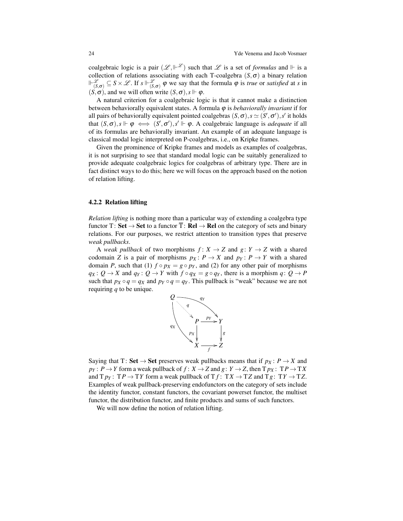coalgebraic logic is a pair  $(\mathscr{L}, \Vdash^{\mathscr{L}})$  such that  $\mathscr{L}$  is a set of *formulas* and  $\Vdash$  is a collection of relations associating with each T-coalgebra  $(S, \sigma)$  a binary relation  $\Vdash_{(S,\sigma)}^{\mathscr{L}} \subseteq S \times \mathscr{L}$ . If  $s \Vdash_{(S,\sigma)}^{\mathscr{L}} \varphi$  we say that the formula  $\varphi$  is *true* or *satisfied* at *s* in  $(S, \sigma)$ , and we will often write  $(S, \sigma)$ ,  $s \Vdash \varphi$ .

A natural criterion for a coalgebraic logic is that it cannot make a distinction between behaviorally equivalent states. A formula ϕ is *behaviorally invariant* if for all pairs of behaviorally equivalent pointed coalgebras  $(S, \sigma), s \simeq (S', \sigma'), s'$  it holds that  $(S, \sigma), s \Vdash \varphi \iff (S', \sigma'), s' \Vdash \varphi$ . A coalgebraic language is *adequate* if all of its formulas are behaviorally invariant. An example of an adequate language is classical modal logic interpreted on P-coalgebras, i.e., on Kripke frames.

Given the prominence of Kripke frames and models as examples of coalgebras, it is not surprising to see that standard modal logic can be suitably generalized to provide adequate coalgebraic logics for coalgebras of arbitrary type. There are in fact distinct ways to do this; here we will focus on the approach based on the notion of relation lifting.

#### 4.2.2 Relation lifting

*Relation lifting* is nothing more than a particular way of extending a coalgebra type functor T: Set  $\rightarrow$  Set to a functor T: Rel  $\rightarrow$  Rel on the category of sets and binary relations. For our purposes, we restrict attention to transition types that preserve *weak pullbacks*.

A *weak pullback* of two morphisms  $f: X \to Z$  and  $g: Y \to Z$  with a shared codomain *Z* is a pair of morphisms  $p_X : P \to X$  and  $p_Y : P \to Y$  with a shared domain *P*, such that (1)  $f \circ p_X = g \circ p_Y$ , and (2) for any other pair of morphisms  $q_X : Q \to X$  and  $q_Y : Q \to Y$  with  $f \circ q_X = g \circ q_Y$ , there is a morphism  $q: Q \to P$ such that  $p_X \circ q = q_X$  and  $p_Y \circ q = q_Y$ . This pullback is "weak" because we are not requiring *q* to be unique.



Saying that T: Set  $\rightarrow$  Set preserves weak pullbacks means that if  $p_X : P \rightarrow X$  and  $p_Y$ :  $P \rightarrow Y$  form a weak pullback of  $f: X \rightarrow Z$  and  $g: Y \rightarrow Z$ , then  $T p_X: T P \rightarrow T X$ and  $T p_Y : T P \rightarrow T Y$  form a weak pullback of  $T f : T X \rightarrow T Z$  and  $T g : T Y \rightarrow T Z$ . Examples of weak pullback-preserving endofunctors on the category of sets include the identity functor, constant functors, the covariant powerset functor, the multiset functor, the distribution functor, and finite products and sums of such functors.

We will now define the notion of relation lifting.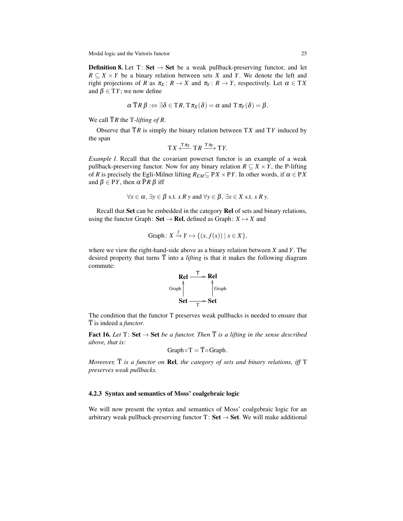**Definition 8.** Let T: Set  $\rightarrow$  Set be a weak pullback-preserving functor, and let  $R \subseteq X \times Y$  be a binary relation between sets *X* and *Y*. We denote the left and right projections of *R* as  $\pi_X : R \to X$  and  $\pi_Y : R \to Y$ , respectively. Let  $\alpha \in TX$ and  $\beta \in TY$ ; we now define

$$
\alpha \overline{T}R \beta :\Leftrightarrow \exists \delta \in TR, T\pi_X(\delta) = \alpha \text{ and } T\pi_Y(\delta) = \beta.
$$

We call T*R* the T*-lifting of R*.

Observe that  $\overline{T}R$  is simply the binary relation between  $TX$  and  $TY$  induced by the span

$$
\mathrm{T} X \xleftarrow{\mathrm{T} \pi_X} \mathrm{T} R \xrightarrow{\mathrm{T} \pi_Y} \mathrm{T} Y.
$$

*Example 1.* Recall that the covariant powerset functor is an example of a weak pullback-preserving functor. Now for any binary relation  $R \subseteq X \times Y$ , the P-lifting of *R* is precisely the Egli-Milner lifting  $R_{EM} \subseteq PX \times PY$ . In other words, if  $\alpha \in PX$ and  $\beta \in PY$ , then  $\alpha \overline{P}R \beta$  iff

$$
\forall x \in \alpha, \exists y \in \beta \text{ s.t. } x R y \text{ and } \forall y \in \beta, \exists x \in X \text{ s.t. } x R y.
$$

Recall that Set can be embedded in the category Rel of sets and binary relations, using the functor Graph:  $Set \rightarrow Rel$ , defined as Graph:  $X \mapsto X$  and

$$
Graph: X \xrightarrow{f} Y \mapsto \{(x, f(x)) \mid x \in X\},
$$

where we view the right-hand-side above as a binary relation between *X* and *Y*. The desired property that turns  $\overline{T}$  into a *lifting* is that it makes the following diagram commute:

$$
\begin{array}{c}\n\text{Rel} \xrightarrow{\overline{T}} \text{Rel} \\
\text{Graph} \downarrow \qquad \qquad \uparrow \\
\text{Set} \xrightarrow{\text{T}} \text{Set}\n\end{array}
$$

The condition that the functor T preserves weak pullbacks is needed to ensure that T is indeed a *functor*.

Fact 16. *Let* T: Set  $\rightarrow$  Set *be a functor. Then*  $\overline{T}$  *is a lifting in the sense described above, that is:*

$$
Graph \circ T = \overline{T} \circ Graph.
$$

*Moreover,* T *is a functor on* Rel*, the category of sets and binary relations, iff* T *preserves weak pullbacks.*

#### 4.2.3 Syntax and semantics of Moss' coalgebraic logic

We will now present the syntax and semantics of Moss' coalgebraic logic for an arbitrary weak pullback-preserving functor T:  $Set \rightarrow Set$ . We will make additional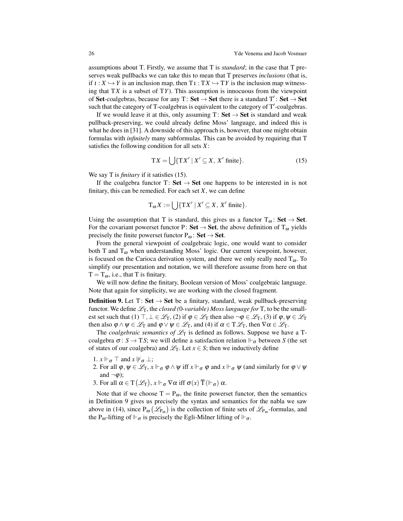assumptions about T. Firstly, we assume that T is *standard*; in the case that T preserves weak pullbacks we can take this to mean that T preserves *inclusions* (that is, if  $\iota : X \hookrightarrow Y$  is an inclusion map, then  $T\iota : T X \hookrightarrow T Y$  is the inclusion map witnessing that T*X* is a subset of T*Y*). This assumption is innocuous from the viewpoint of Set-coalgebras, because for any T: Set  $\rightarrow$  Set there is a standard T': Set  $\rightarrow$  Set such that the category of T-coalgebras is equivalent to the category of  $T'$ -coalgebras.

If we would leave it at this, only assuming  $T: Set \rightarrow Set$  is standard and weak pullback-preserving, we could already define Moss' language, and indeed this is what he does in [31]. A downside of this approach is, however, that one might obtain formulas with *infinitely* many subformulas. This can be avoided by requiring that T satisfies the following condition for all sets *X*:

$$
TX = \bigcup \{ TX' \mid X' \subseteq X, X' \text{ finite} \}. \tag{15}
$$

We say T is *finitary* if it satisfies (15).

If the coalgebra functor T: Set  $\rightarrow$  Set one happens to be interested in is not finitary, this can be remedied. For each set *X*, we can define

$$
T_{\omega}X := \bigcup \{TX' \mid X' \subseteq X, X' \text{ finite}\}.
$$

Using the assumption that T is standard, this gives us a functor  $T_{\omega}$ : Set  $\rightarrow$  Set. For the covariant powerset functor P: Set  $\rightarrow$  Set, the above definition of T<sub>ω</sub> yields precisely the finite powerset functor  $P_{\omega}$ : Set  $\rightarrow$  Set.

From the general viewpoint of coalgebraic logic, one would want to consider both T and  $T_{\omega}$  when understanding Moss' logic. Our current viewpoint, however, is focused on the Carioca derivation system, and there we only really need  $T_{\omega}$ . To simplify our presentation and notation, we will therefore assume from here on that  $T = T_{\omega}$ , i.e., that T is finitary.

We will now define the finitary, Boolean version of Moss' coalgebraic language. Note that again for simplicity, we are working with the closed fragment.

**Definition 9.** Let T: Set  $\rightarrow$  Set be a finitary, standard, weak pullback-preserving functor. We define  $\mathcal{L}_T$ , the *closed (0-variable) Moss language for* T, to be the smallest set such that (1)  $\top, \bot \in \mathcal{L}_T$ , (2) if  $\varphi \in \mathcal{L}_T$  then also  $\neg \varphi \in \mathcal{L}_T$ , (3) if  $\varphi, \psi \in \mathcal{L}_T$ then also  $\varphi \wedge \psi \in \mathcal{L}_T$  and  $\varphi \vee \psi \in \mathcal{L}_T$ , and (4) if  $\alpha \in T\mathcal{L}_T$ , then  $\nabla \alpha \in \mathcal{L}_T$ .

The *coalgebraic semantics of*  $\mathcal{L}_T$  is defined as follows. Suppose we have a Tcoalgebra  $\sigma: S \to TS$ ; we will define a satisfaction relation  $\mathbb{F}_{\sigma}$  between *S* (the set of states of our coalgebra) and  $\mathcal{L}_T$ . Let  $x \in S$ ; then we inductively define

- 1.  $x \Vdash_{\sigma} \top$  and  $x \Vdash_{\sigma} \bot$ ;
- 2. For all  $\varphi, \psi \in \mathscr{L}_T$ ,  $x \Vdash_{\sigma} \varphi \wedge \psi$  iff  $x \Vdash_{\sigma} \varphi$  and  $x \Vdash_{\sigma} \psi$  (and similarly for  $\varphi \vee \psi$ and  $\neg \varphi$ ):
- 3. For all  $\alpha \in \mathrm{T}(\mathscr{L}_{\mathrm{T}}), x \Vdash_{\sigma} \nabla \alpha$  iff  $\sigma(x) \overline{\mathrm{T}}(\Vdash_{\sigma}) \alpha$ .

Note that if we choose  $T = P_{\omega}$ , the finite powerset functor, then the semantics in Definition 9 gives us precisely the syntax and semantics for the nabla we saw above in (14), since  $P_{\omega}(\mathcal{L}_{P_{\omega}})$  is the collection of finite sets of  $\mathcal{L}_{P_{\omega}}$ -formulas, and the P<sub>ω</sub>-lifting of  $\Vdash_{\sigma}$  is precisely the Egli-Milner lifting of  $\Vdash_{\sigma}$ .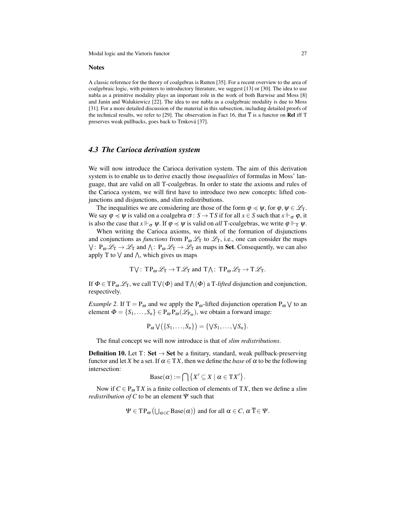#### **Notes**

A classic reference for the theory of coalgebras is Rutten [35]. For a recent overview to the area of coalgebraic logic, with pointers to introductory literature, we suggest [13] or [30]. The idea to use nabla as a primitive modality plays an important role in the work of both Barwise and Moss [8] and Janin and Walukiewicz [22]. The idea to use nabla as a coalgebraic modality is due to Moss [31]. For a more detailed discussion of the material in this subsection, including detailed proofs of the technical results, we refer to [29]. The observation in Fact 16, that  $\overline{T}$  is a functor on Rel iff T preserves weak pullbacks, goes back to Trnková [37].

## *4.3 The Carioca derivation system*

We will now introduce the Carioca derivation system. The aim of this derivation system is to enable us to derive exactly those *inequalities* of formulas in Moss' language, that are valid on all T-coalgebras. In order to state the axioms and rules of the Carioca system, we will first have to introduce two new concepts: lifted conjunctions and disjunctions, and slim redistributions.

The inequalities we are considering are those of the form  $\varphi \preccurlyeq \psi$ , for  $\varphi, \psi \in \mathcal{L}_T$ . We say  $\varphi \preccurlyeq \psi$  is valid on a coalgebra  $\sigma: S \to TS$  if for all  $x \in S$  such that  $x \Vdash_{\sigma} \varphi$ , it is also the case that  $x \Vdash_{\sigma} \psi$ . If  $\varphi \preccurlyeq \psi$  is valid on *all* T-coalgebras, we write  $\varphi \Vdash_{\tau} \psi$ .

When writing the Carioca axioms, we think of the formation of disjunctions and conjunctions as *functions* from  $P_{\omega} \mathcal{L}_T$  to  $\mathcal{L}_T$ , i.e., one can consider the maps  $\vee$ :  $P_{\omega} \mathscr{L}_T \to \mathscr{L}_T$  and  $\wedge$ :  $P_{\omega} \mathscr{L}_T \to \mathscr{L}_T$  as maps in **Set**. Consequently, we can also apply T to  $\vee$  and  $\wedge$ , which gives us maps

$$
T \bigvee \colon TP_{\omega} \mathscr{L}_T \to T \mathscr{L}_T \text{ and } T \bigwedge \colon TP_{\omega} \mathscr{L}_T \to T \mathscr{L}_T.
$$

If  $\Phi \in \mathrm{TP}_{\omega} \mathscr{L}_T$ , we call  $\mathrm{T} \bigvee (\Phi)$  and  $\mathrm{T} \bigwedge (\Phi)$  a  $\mathrm{T}$ *-lifted* disjunction and conjunction, respectively.

*Example 2.* If  $T = P_{\omega}$  and we apply the  $P_{\omega}$ -lifted disjunction operation  $P_{\omega} \setminus V$  to an element  $\Phi = \{S_1, \ldots, S_n\} \in P_{\omega} P_{\omega}(\mathcal{L}_{P_{\omega}})$ , we obtain a forward image:

$$
P_{\omega}\bigvee(\{S_1,\ldots,S_n\}\big)=\{\bigvee S_1,\ldots,\bigvee S_n\}.
$$

The final concept we will now introduce is that of *slim redistributions*.

**Definition 10.** Let T: Set  $\rightarrow$  Set be a finitary, standard, weak pullback-preserving functor and let *X* be a set. If  $\alpha \in TX$ , then we define the *base* of  $\alpha$  to be the following intersection:

$$
Base(\alpha) := \bigcap \{ X' \subseteq X \mid \alpha \in TX' \}.
$$

Now if  $C \in P_{\omega} T X$  is a finite collection of elements of TX, then we define a *slim redistribution of C* to be an element  $\Psi$  such that

$$
\Psi \in \mathrm{TP}_{\omega} \left( \bigcup_{\alpha \in C} \mathrm{Base}(\alpha) \right) \text{ and for all } \alpha \in C, \, \alpha \overline{\mathrm{T}} \in \Psi.
$$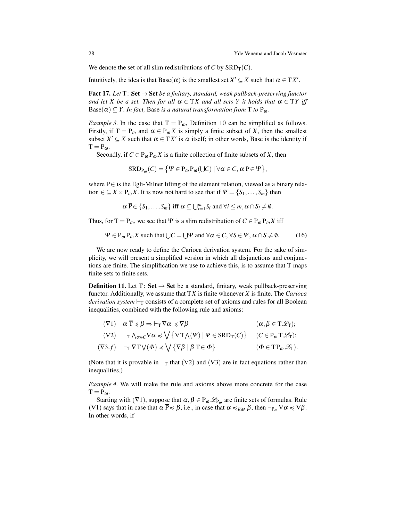We denote the set of all slim redistributions of *C* by  $SRD<sub>T</sub>(C)$ .

Intuitively, the idea is that  $Base(\alpha)$  is the smallest set  $X' \subseteq X$  such that  $\alpha \in TX'$ .

Fact 17. Let  $T: Set \rightarrow Set$  *be a finitary, standard, weak pullback-preserving functor and let X be a set. Then for all*  $\alpha \in TX$  *and all sets Y it holds that*  $\alpha \in TY$  *iff* Base( $\alpha$ )  $\subseteq$  *Y*. *In fact*, Base *is a natural transformation from* T *to*  $P_{\omega}$ .

*Example 3.* In the case that  $T = P_{\omega}$ , Definition 10 can be simplified as follows. Firstly, if  $T = P_{\omega}$  and  $\alpha \in P_{\omega}X$  is simply a finite subset of X, then the smallest subset  $X' \subseteq X$  such that  $\alpha \in TX'$  is  $\alpha$  itself; in other words, Base is the identity if  $T = P_{\omega}$ .

Secondly, if  $C \in P_{\omega} P_{\omega} X$  is a finite collection of finite subsets of *X*, then

 $\text{SRD}_{P_{\omega}}(C) = \{ \Psi \in P_{\omega} P_{\omega}(\bigcup C) \mid \forall \alpha \in C, \alpha \overline{P} \in \Psi \},\$ 

where  $\overline{P}$  ∈ is the Egli-Milner lifting of the element relation, viewed as a binary relation  $\in \subseteq X \times P_{\omega}X$ . It is now not hard to see that if  $\Psi = \{S_1, \ldots, S_m\}$  then

$$
\alpha \overline{P} \in \{S_1, \ldots, S_m\} \text{ iff } \alpha \subseteq \bigcup_{i=1}^m S_i \text{ and } \forall i \leq m, \alpha \cap S_i \neq \emptyset.
$$

Thus, for  $T = P_{\omega}$ , we see that  $\Psi$  is a slim redistribution of  $C \in P_{\omega} P_{\omega} X$  iff

$$
\Psi \in P_{\omega} P_{\omega} X \text{ such that } \bigcup C = \bigcup \Psi \text{ and } \forall \alpha \in C, \forall S \in \Psi, \alpha \cap S \neq \emptyset. \tag{16}
$$

We are now ready to define the Carioca derivation system. For the sake of simplicity, we will present a simplified version in which all disjunctions and conjunctions are finite. The simplification we use to achieve this, is to assume that T maps finite sets to finite sets.

**Definition 11.** Let T: Set  $\rightarrow$  Set be a standard, finitary, weak pullback-preserving functor. Additionally, we assume that T*X* is finite whenever *X* is finite. The *Carioca derivation system*  $\vdash_T$  consists of a complete set of axioms and rules for all Boolean inequalities, combined with the following rule and axioms:

| $(\nabla 1)$ $\alpha \overline{T} \preccurlyeq \beta \Rightarrow \vdash_{T} \nabla \alpha \preccurlyeq \nabla \beta$                                                                         | $(\alpha, \beta \in T\mathscr{L}_T);$                       |
|----------------------------------------------------------------------------------------------------------------------------------------------------------------------------------------------|-------------------------------------------------------------|
| $(\nabla 2)$ $\vdash_{T} \bigwedge_{\alpha \in C} \nabla \alpha \preccurlyeq \bigvee \{ \nabla T \bigwedge(\Psi) \mid \Psi \in \text{SRD}_{T}(C) \}$ $(C \in P_{\omega} T \mathcal{L}_{T});$ |                                                             |
| $(\nabla 3.f)$ $\vdash_{\mathbf{T}} \nabla \mathbf{T} \vee (\Phi) \preccurlyeq \bigvee \{ \nabla \beta \mid \beta \overline{\mathbf{T}} \in \Phi \}$                                         | $(\Phi \in \mathrm{TP}_{\omega} \mathscr{L}_{\mathrm{T}}).$ |

(Note that it is provable in  $\vdash_{T}$  that ( $\nabla$ 2) and ( $\nabla$ 3) are in fact equations rather than inequalities.)

*Example 4.* We will make the rule and axioms above more concrete for the case  $T = P_{\omega}$ .

Starting with ( $\nabla$ 1), suppose that  $\alpha, \beta \in P_{\omega} \mathcal{L}_{P_{\omega}}$  are finite sets of formulas. Rule ( $\nabla$ 1) says that in case that  $\alpha \overline{P} \preccurlyeq \beta$ , i.e., in case that  $\alpha \preccurlyeq_{EM} \beta$ , then  $\vdash_{P_{\omega}} \nabla \alpha \preccurlyeq \nabla \beta$ . In other words, if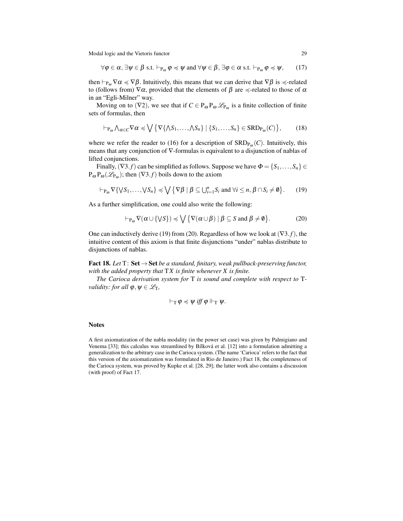$$
\forall \varphi \in \alpha, \exists \psi \in \beta \text{ s.t. } \vdash_{P_{\omega}} \varphi \preccurlyeq \psi \text{ and } \forall \psi \in \beta, \exists \varphi \in \alpha \text{ s.t. } \vdash_{P_{\omega}} \varphi \preccurlyeq \psi, \qquad (17)
$$

then  $\vdash_{P_{\omega}} \nabla \alpha \preccurlyeq \nabla \beta$ . Intuitively, this means that we can derive that  $\nabla \beta$  is  $\preccurlyeq$ -related to (follows from)  $\nabla \alpha$ , provided that the elements of  $\beta$  are  $\prec$ -related to those of  $\alpha$ in an "Egli-Milner" way.

Moving on to ( $\nabla$ 2), we see that if  $C \in P_{\omega} P_{\omega} \mathcal{L}_{P_{\omega}}$  is a finite collection of finite sets of formulas, then

$$
\vdash_{\mathsf{P}_{\omega}} \bigwedge_{\alpha \in C} \nabla \alpha \preccurlyeq \bigvee \big\{ \nabla \{\bigwedge S_1, \dots, \bigwedge S_n\} \mid \{S_1, \dots, S_n\} \in \mathrm{SRD}_{\mathsf{P}_{\omega}}(C) \big\},\tag{18}
$$

where we refer the reader to (16) for a description of  $SRD_{P_{\omega}}(C)$ . Intuitively, this means that any conjunction of ∇-formulas is equivalent to a disjunction of nablas of lifted conjunctions.

Finally,  $(\nabla 3.f)$  can be simplified as follows. Suppose we have  $\Phi = \{S_1, \ldots, S_n\}$  $P_{\omega}P_{\omega}(\mathcal{L}_{P_{\omega}})$ ; then  $(\nabla 3.f)$  boils down to the axiom

$$
\vdash_{\mathsf{P}_{\omega}} \nabla \{ \forall S_1, \dots, \forall S_n \} \preccurlyeq \bigvee \big\{ \nabla \beta \mid \beta \subseteq \bigcup_{i=1}^n S_i \text{ and } \forall i \leq n, \beta \cap S_i \neq \emptyset \big\}.
$$
 (19)

As a further simplification, one could also write the following:

$$
\vdash_{\mathsf{P}_{\boldsymbol{\omega}}} \nabla(\boldsymbol{\alpha} \cup \{\forall S\}) \preccurlyeq \bigvee \big\{ \nabla(\boldsymbol{\alpha} \cup \boldsymbol{\beta}) \mid \boldsymbol{\beta} \subseteq S \text{ and } \boldsymbol{\beta} \neq \boldsymbol{\emptyset} \big\}.
$$
 (20)

One can inductively derive (19) from (20). Regardless of how we look at (∇3. *f*), the intuitive content of this axiom is that finite disjunctions "under" nablas distribute to disjunctions of nablas.

Fact 18. Let  $T: Set \rightarrow Set$  *be a standard, finitary, weak pullback-preserving functor, with the added property that* T*X is finite whenever X is finite.*

*The Carioca derivation system for* T *is sound and complete with respect to* T*validity: for all*  $\varphi, \psi \in \mathcal{L}_T$ ,

$$
\vdash_T \phi \preccurlyeq \psi \mathit{iff} \phi \Vdash_T \psi.
$$

#### **Notes**

A first axiomatization of the nabla modality (in the power set case) was given by Palmigiano and Venema [33]; this calculus was streamlined by Bílková et al. [12] into a formulation admitting a generalization to the arbitrary case in the Carioca system. (The name 'Carioca' refers to the fact that this version of the axiomatization was formulated in Rio de Janeiro.) Fact 18, the completeness of the Carioca system, was proved by Kupke et al. [28, 29]; the latter work also contains a discussion (with proof) of Fact 17.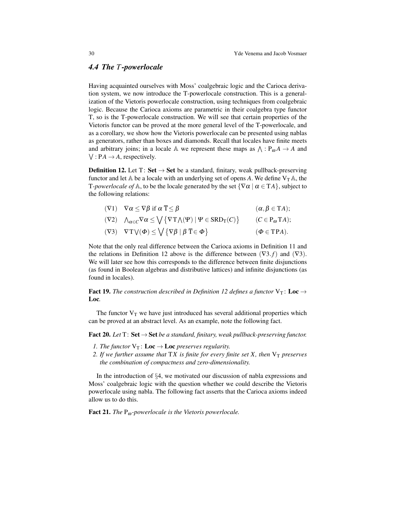#### *4.4 The T-powerlocale*

Having acquainted ourselves with Moss' coalgebraic logic and the Carioca derivation system, we now introduce the T-powerlocale construction. This is a generalization of the Vietoris powerlocale construction, using techniques from coalgebraic logic. Because the Carioca axioms are parametric in their coalgebra type functor T, so is the T-powerlocale construction. We will see that certain properties of the Vietoris functor can be proved at the more general level of the T-powerlocale, and as a corollary, we show how the Vietoris powerlocale can be presented using nablas as generators, rather than boxes and diamonds. Recall that locales have finite meets and arbitrary joins; in a locale A we represent these maps as  $\bigwedge$  :  $P_{\omega}A \rightarrow A$  and  $\bigvee$  : PA  $\rightarrow$  *A*, respectively.

**Definition 12.** Let T: Set  $\rightarrow$  Set be a standard, finitary, weak pullback-preserving functor and let  $\mathbb A$  be a locale with an underlying set of opens A. We define  $V_T \mathbb A$ , the T-*powerlocale of* A, to be the locale generated by the set  $\{\nabla \alpha \mid \alpha \in TA\}$ , subject to the following relations:

- ( $\nabla$ 1)  $\nabla \alpha \leq \nabla \beta$  if  $\alpha \overline{T} \leq \beta$  ( $\alpha, \beta \in T_A$ );
- $(\nabla 2)$   $\Lambda_{\alpha \in C} \nabla \alpha \leq \bigvee \{ \nabla T \wedge (\Psi) \mid \Psi \in \mathrm{SRD}_T(C) \}$  $(C \in P_{\omega} TA);$
- $(\nabla 3) \quad \nabla \Upsilon \vee (\Phi) \leq \bigvee \{ \nabla \beta \mid \beta \overline{T} \in \Phi \}$  $(\Phi \in \text{TPA}).$

Note that the only real difference between the Carioca axioms in Definition 11 and the relations in Definition 12 above is the difference between  $(\nabla 3. f)$  and  $(\nabla 3)$ . We will later see how this corresponds to the difference between finite disjunctions (as found in Boolean algebras and distributive lattices) and infinite disjunctions (as found in locales).

**Fact 19.** The construction described in Definition 12 defines a functor  $V_T$ : Loc  $\rightarrow$ Loc*.*

The functor  $V_T$  we have just introduced has several additional properties which can be proved at an abstract level. As an example, note the following fact.

**Fact 20.** *Let* T: **Set**  $\rightarrow$  **Set** *be a standard, finitary, weak pullback-preserving functor.* 

- *1. The functor*  $V_T$ : **Loc**  $\rightarrow$  **Loc** *preserves regularity.*
- 2. If we further assume that  $TX$  is finite for every finite set X, then  $V_T$  preserves *the combination of compactness and zero-dimensionality.*

In the introduction of §4, we motivated our discussion of nabla expressions and Moss' coalgebraic logic with the question whether we could describe the Vietoris powerlocale using nabla. The following fact asserts that the Carioca axioms indeed allow us to do this.

Fact 21. *The* Pω*-powerlocale is the Vietoris powerlocale.*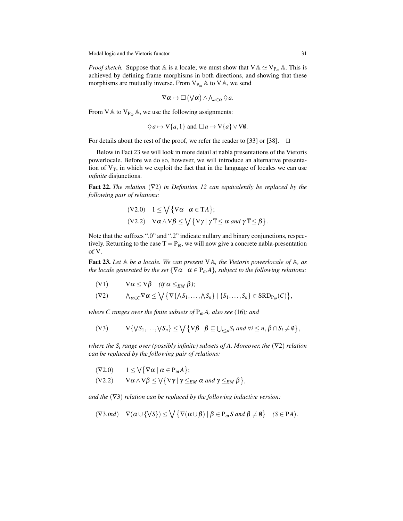*Proof sketch.* Suppose that A is a locale; we must show that  $V A \simeq V_{P_{\omega}} A$ . This is achieved by defining frame morphisms in both directions, and showing that these morphisms are mutually inverse. From  $V_{P_{\omega}}$   $\triangle$  to  $V \triangle$ , we send

$$
\nabla \alpha \mapsto \Box(\bigvee \alpha) \wedge \bigwedge_{a \in \alpha} \Diamond a.
$$

From V  $\mathbb{A}$  to  $V_{P_{\omega}}$   $\mathbb{A}$ , we use the following assignments:

$$
\Diamond a \mapsto \nabla \{a, 1\} \text{ and } \Box a \mapsto \nabla \{a\} \vee \nabla \emptyset.
$$

For details about the rest of the proof, we refer the reader to [33] or [38].  $\Box$ 

Below in Fact 23 we will look in more detail at nabla presentations of the Vietoris powerlocale. Before we do so, however, we will introduce an alternative presentation of  $V_T$ , in which we exploit the fact that in the language of locales we can use *infinite* disjunctions.

Fact 22. *The relation* (∇2) *in Definition 12 can equivalently be replaced by the following pair of relations:*

$$
\begin{aligned} (\nabla 2.0) \quad & 1 \le \bigvee \{ \nabla \alpha \mid \alpha \in TA \}; \\ (\nabla 2.2) \quad & \nabla \alpha \wedge \nabla \beta \le \bigvee \{ \nabla \gamma \mid \gamma \overline{T} \le \alpha \text{ and } \gamma \overline{T} \le \beta \} \end{aligned}
$$

Note that the suffixes ".0" and ".2" indicate nullary and binary conjunctions, respectively. Returning to the case  $T = P_{\omega}$ , we will now give a concrete nabla-presentation of V.

Fact 23. Let  $\mathbb A$  *be a locale. We can present*  $V \mathbb A$ *, the Vietoris powerlocale of*  $\mathbb A$ *, as the locale generated by the set*  $\{\nabla \alpha \mid \alpha \in P_{\omega}A\}$ *, subject to the following relations:* 

$$
(\nabla 1) \qquad \nabla \alpha \leq \nabla \beta \quad (if \alpha \leq_{EM} \beta);
$$

$$
(\nabla 2) \qquad \Lambda_{\alpha \in C} \nabla \alpha \leq \bigvee \big\{ \nabla \{ \Lambda S_1, \ldots, \Lambda S_n \} \mid \{ S_1, \ldots, S_n \} \in SRD_{P_{\omega}}(C) \big\},
$$

*where C ranges over the finite subsets of* P<sup>ω</sup> *A, also see* (16)*; and*

$$
(\nabla 3) \qquad \nabla \{ \vee S_1, \ldots, \vee S_n \} \leq \bigvee \{ \nabla \beta \mid \beta \subseteq \bigcup_{i \leq n} S_i \text{ and } \forall i \leq n, \beta \cap S_i \neq \emptyset \},
$$

*where the S<sup>i</sup> range over (possibly infinite) subsets of A. Moreover, the* (∇2) *relation can be replaced by the following pair of relations:*

$$
(\nabla 2.0) \qquad 1 \leq \bigvee \big\{ \nabla \alpha \mid \alpha \in P_{\omega} A \big\};
$$

$$
(\nabla 2.2) \qquad \nabla \alpha \wedge \nabla \beta \leq \bigvee \{ \nabla \gamma \mid \gamma \leq_{\mathit{EM}} \alpha \text{ and } \gamma \leq_{\mathit{EM}} \beta \},
$$

*and the* (∇3) *relation can be replaced by the following inductive version:*

$$
(\nabla 3. \text{ind}) \quad \nabla(\alpha \cup \{ \nabla S \}) \leq \bigvee \{ \nabla(\alpha \cup \beta) \mid \beta \in P_{\omega} S \text{ and } \beta \neq \emptyset \} \quad (S \in \mathbf{P} A).
$$

.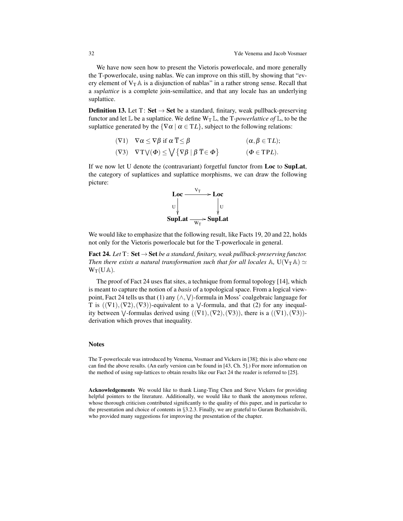We have now seen how to present the Vietoris powerlocale, and more generally the T-powerlocale, using nablas. We can improve on this still, by showing that "every element of  $V_T A$  is a disjunction of nablas" in a rather strong sense. Recall that a *suplattice* is a complete join-semilattice, and that any locale has an underlying suplattice.

**Definition 13.** Let T: Set  $\rightarrow$  Set be a standard, finitary, weak pullback-preserving functor and let  $\mathbb L$  be a suplattice. We define  $W_T \mathbb L$ , the T-*powerlattice of*  $\mathbb L$ , to be the suplattice generated by the  $\{\nabla \alpha \mid \alpha \in TL\}$ , subject to the following relations:

$$
\begin{aligned}\n(\nabla 1) \quad & \nabla \alpha \leq \nabla \beta \text{ if } \alpha \overline{T} \leq \beta & (\alpha, \beta \in TL); \\
(\nabla 3) \quad & \nabla T \vee (\Phi) \leq \bigvee \{ \nabla \beta \mid \beta \overline{T} \in \Phi \} & (\Phi \in TPL).\n\end{aligned}
$$

If we now let U denote the (contravariant) forgetful functor from Loc to SupLat, the category of suplattices and suplattice morphisms, we can draw the following picture:



We would like to emphasize that the following result, like Facts 19, 20 and 22, holds not only for the Vietoris powerlocale but for the T-powerlocale in general.

Fact 24. Let  $T: Set \rightarrow Set$  *be a standard, finitary, weak pullback-preserving functor. Then there exists a natural transformation such that for all locales*  $\mathbb{A}$ ,  $U(V_T \mathbb{A}) \simeq$  $W_T(U \mathbb{A})$ .

The proof of Fact 24 uses flat sites, a technique from formal topology [14], which is meant to capture the notion of a *basis* of a topological space. From a logical viewpoint, Fact 24 tells us that (1) any  $(\land, \lor)$ -formula in Moss' coalgebraic language for T is  $((\nabla 1), (\nabla 2), (\nabla 3))$ -equivalent to a  $\vee$ -formula, and that (2) for any inequality between  $\vee$ -formulas derived using  $((\nabla 1), (\nabla 2), (\nabla 3))$ , there is a  $((\nabla 1), (\nabla 3))$ derivation which proves that inequality.

#### Notes

The T-powerlocale was introduced by Venema, Vosmaer and Vickers in [38]; this is also where one can find the above results. (An early version can be found in [43, Ch. 5].) For more information on the method of using sup-lattices to obtain results like our Fact 24 the reader is referred to [25].

Acknowledgements We would like to thank Liang-Ting Chen and Steve Vickers for providing helpful pointers to the literature. Additionally, we would like to thank the anonymous referee, whose thorough criticism contributed significantly to the quality of this paper, and in particular to the presentation and choice of contents in §3.2.3. Finally, we are grateful to Guram Bezhanishvili, who provided many suggestions for improving the presentation of the chapter.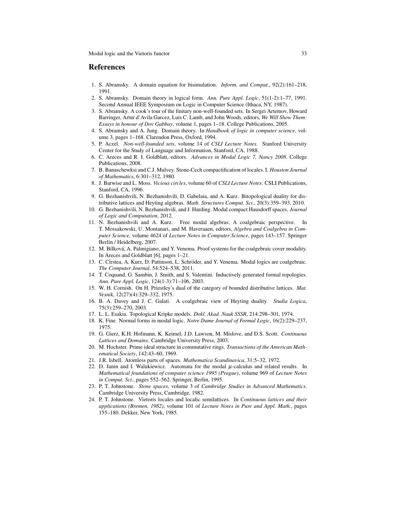## References

- 1. S. Abramsky. A domain equation for bisimulation. *Inform. and Comput.*, 92(2):161–218, 1991.
- 2. S. Abramsky. Domain theory in logical form. *Ann. Pure Appl. Logic*, 51(1-2):1–77, 1991. Second Annual IEEE Symposium on Logic in Computer Science (Ithaca, NY, 1987).
- 3. S. Abramsky. A cook's tour of the finitary non-well-founded sets. In Sergei Artemov, Howard Barringer, Artur d'Avila Garcez, Luis C. Lamb, and John Woods, editors, *We Will Show Them: Essays in honour of Dov Gabbay*, volume 1, pages 1–18. College Publications, 2005.
- 4. S. Abramsky and A. Jung. Domain theory. In *Handbook of logic in computer science*, volume 3, pages 1–168. Clarendon Press, Oxford, 1994.
- 5. P. Aczel. *Non-well-founded sets*, volume 14 of *CSLI Lecture Notes*. Stanford University Center for the Study of Language and Information, Stanford, CA, 1988.
- 6. C. Areces and R. I. Goldblatt, editors. *Advances in Modal Logic 7, Nancy 2008*. College Publications, 2008.
- 7. B. Banaschewksi and C.J. Mulvey. Stone-Cech compactification of locales. I. *Houston Journal of Mathematics*, 6:301–312, 1980.
- 8. J. Barwise and L. Moss. *Vicious circles*, volume 60 of *CSLI Lecture Notes*. CSLI Publications, Stanford, CA, 1996.
- 9. G. Bezhanishvili, N. Bezhanishvili, D. Gabelaia, and A. Kurz. Bitopological duality for distributive lattices and Heyting algebras. *Math. Structures Comput. Sci.*, 20(3):359–393, 2010.
- 10. G. Bezhanishvili, N. Bezhanishvili, and J. Harding. Modal compact Hausdorff spaces. *Journal of Logic and Computation*, 2012.
- 11. N. Bezhanishvili and A. Kurz. Free modal algebras: A coalgebraic perspective. In T. Mossakowski, U. Montanari, and M. Haveraaen, editors, *Algebra and Coalgebra in Computer Science*, volume 4624 of *Lecture Notes in Computer Science*, pages 143–157. Springer Berlin / Heidelberg, 2007.
- 12. M. Bílková, A. Palmigiano, and Y. Venema. Proof systems for the coalgebraic cover modality. In Areces and Goldblatt [6], pages 1–21.
- 13. C. Cîrstea, A. Kurz, D. Pattinson, L. Schröder, and Y. Venema. Modal logics are coalgebraic. *The Computer Journal*, 54:524–538, 2011.
- 14. T. Coquand, G. Sambin, J. Smith, and S. Valentini. Inductively generated formal topologies. *Ann. Pure Appl. Logic*, 124(1-3):71–106, 2003.
- 15. W. H. Cornish. On H. Priestley's dual of the category of bounded distributive lattices. *Mat. Vesnik*, 12(27)(4):329–332, 1975.
- 16. B. A. Davey and J. C. Galati. A coalgebraic view of Heyting duality. *Studia Logica*, 75(3):259–270, 2003.
- 17. L. L. Esakia. Topological Kripke models. *Dokl. Akad. Nauk SSSR*, 214:298–301, 1974.
- 18. K. Fine. Normal forms in modal logic. *Notre Dame Journal of Formal Logic*, 16(2):229–237, 1975.
- 19. G. Gierz, K.H. Hofmann, K. Keimel, J.D. Lawson, M. Mislove, and D.S. Scott. *Continuous Lattices and Domains*. Cambridge University Press, 2003.
- 20. M. Hochster. Prime ideal structure in commutative rings. *Transactions of the American Mathematical Society*, 142:43–60, 1969.
- 21. J.R. Isbell. Atomless parts of spaces. *Mathematica Scandinavica*, 31:5–32, 1972.
- 22. D. Janin and I. Walukiewicz. Automata for the modal  $\mu$ -calculus and related results. In *Mathematical foundations of computer science 1995 (Prague)*, volume 969 of *Lecture Notes in Comput. Sci.*, pages 552–562. Springer, Berlin, 1995.
- 23. P. T. Johnstone. *Stone spaces*, volume 3 of *Cambridge Studies in Advanced Mathematics*. Cambridge University Press, Cambridge, 1982.
- 24. P. T. Johnstone. Vietoris locales and localic semilattices. In *Continuous lattices and their applications (Bremen, 1982)*, volume 101 of *Lecture Notes in Pure and Appl. Math.*, pages 155–180. Dekker, New York, 1985.